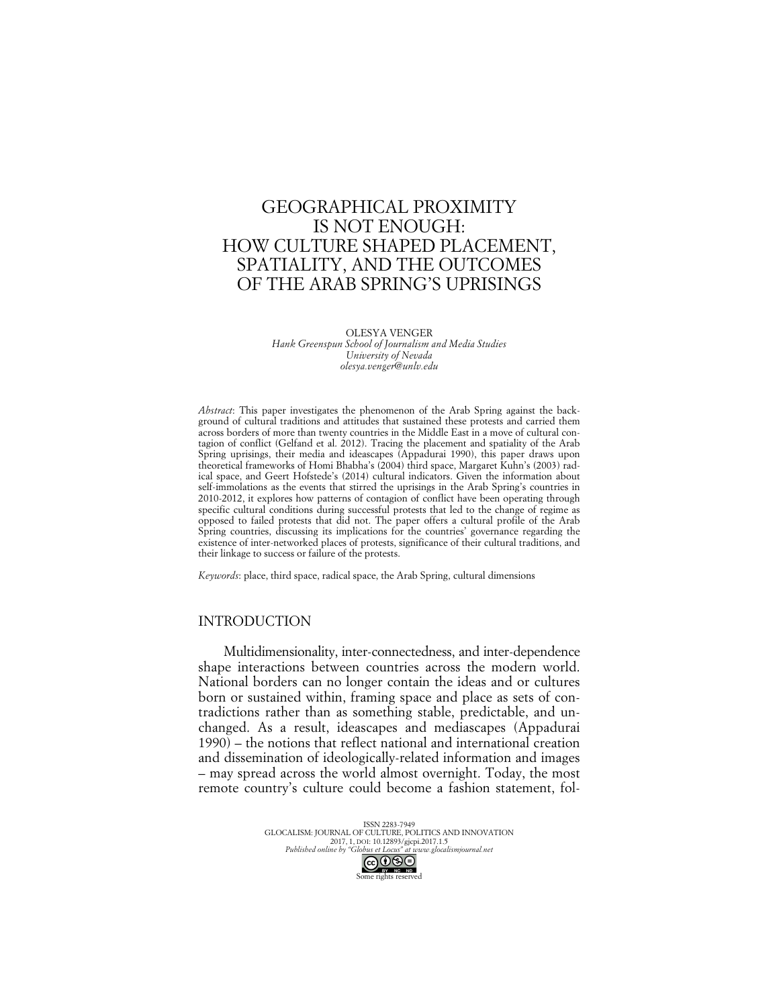# GEOGRAPHICAL PROXIMITY IS NOT ENOUGH: HOW CULTURE SHAPED PLACEMENT, SPATIALITY, AND THE OUTCOMES OF THE ARAB SPRING'S UPRISINGS

OLESYA VENGER *Hank Greenspun School of Journalism and Media Studies University of Nevada olesya.venger@unlv.edu*

*Abstract*: This paper investigates the phenomenon of the Arab Spring against the background of cultural traditions and attitudes that sustained these protests and carried them across borders of more than twenty countries in the Middle East in a move of cultural contagion of conflict (Gelfand et al. 2012). Tracing the placement and spatiality of the Arab Spring uprisings, their media and ideascapes (Appadurai 1990), this paper draws upon theoretical frameworks of Homi Bhabha's (2004) third space, Margaret Kuhn's (2003) radical space, and Geert Hofstede's (2014) cultural indicators. Given the information about self-immolations as the events that stirred the uprisings in the Arab Spring's countries in 2010-2012, it explores how patterns of contagion of conflict have been operating through specific cultural conditions during successful protests that led to the change of regime as opposed to failed protests that did not. The paper offers a cultural profile of the Arab Spring countries, discussing its implications for the countries' governance regarding the existence of inter-networked places of protests, significance of their cultural traditions, and their linkage to success or failure of the protests.

*Keywords*: place, third space, radical space, the Arab Spring, cultural dimensions

# INTRODUCTION

Multidimensionality, inter-connectedness, and inter-dependence shape interactions between countries across the modern world. National borders can no longer contain the ideas and or cultures born or sustained within, framing space and place as sets of contradictions rather than as something stable, predictable, and unchanged. As a result, ideascapes and mediascapes (Appadurai 1990) – the notions that reflect national and international creation and dissemination of ideologically-related information and images – may spread across the world almost overnight. Today, the most remote country's culture could become a fashion statement, fol-

> ISSN 2283-7949 GLOCALISM: JOURNAL OF CULTURE, POLITICS AND INNOVATION 2017, 1, DOI: 10.12893/gjcpi.2017.1.5<br>Published online by "Globus et Locus" at www.glocal. *Published online by "Globus et Locus" at www.glocalismjournal.net* Some rights reserved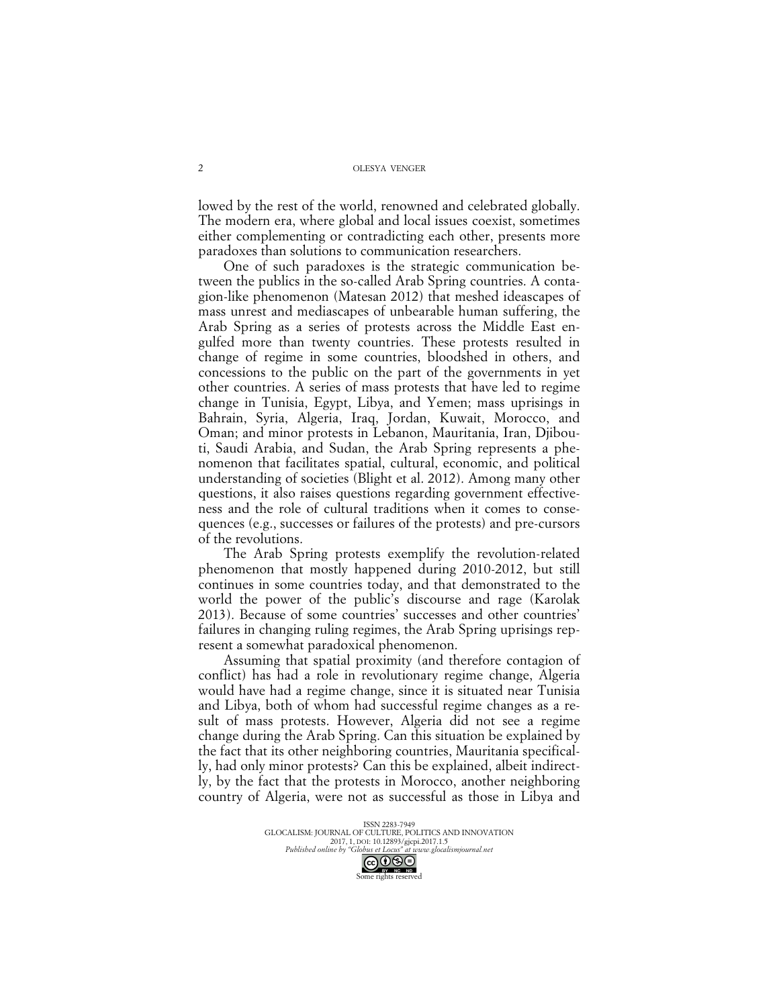lowed by the rest of the world, renowned and celebrated globally. The modern era, where global and local issues coexist, sometimes either complementing or contradicting each other, presents more paradoxes than solutions to communication researchers.

One of such paradoxes is the strategic communication between the publics in the so-called Arab Spring countries. A contagion-like phenomenon (Matesan 2012) that meshed ideascapes of mass unrest and mediascapes of unbearable human suffering, the Arab Spring as a series of protests across the Middle East engulfed more than twenty countries. These protests resulted in change of regime in some countries, bloodshed in others, and concessions to the public on the part of the governments in yet other countries. A series of mass protests that have led to regime change in Tunisia, Egypt, Libya, and Yemen; mass uprisings in Bahrain, Syria, Algeria, Iraq, Jordan, Kuwait, Morocco, and Oman; and minor protests in Lebanon, Mauritania, Iran, Djibouti, Saudi Arabia, and Sudan, the Arab Spring represents a phenomenon that facilitates spatial, cultural, economic, and political understanding of societies (Blight et al. 2012). Among many other questions, it also raises questions regarding government effectiveness and the role of cultural traditions when it comes to consequences (e.g., successes or failures of the protests) and pre-cursors of the revolutions.

The Arab Spring protests exemplify the revolution-related phenomenon that mostly happened during 2010-2012, but still continues in some countries today, and that demonstrated to the world the power of the public's discourse and rage (Karolak 2013). Because of some countries' successes and other countries' failures in changing ruling regimes, the Arab Spring uprisings represent a somewhat paradoxical phenomenon.

Assuming that spatial proximity (and therefore contagion of conflict) has had a role in revolutionary regime change, Algeria would have had a regime change, since it is situated near Tunisia and Libya, both of whom had successful regime changes as a result of mass protests. However, Algeria did not see a regime change during the Arab Spring. Can this situation be explained by the fact that its other neighboring countries, Mauritania specifically, had only minor protests? Can this be explained, albeit indirectly, by the fact that the protests in Morocco, another neighboring country of Algeria, were not as successful as those in Libya and

> ISSN 2283-7949 GLOCALISM: JOURNAL OF CULTURE, POLITICS AND INNOVATION 2017, 1, DOI: 10.12893/gjcpi.2017.1.5 *Published online by "Globus et Locus" at www.glocalismjournal.net* COSO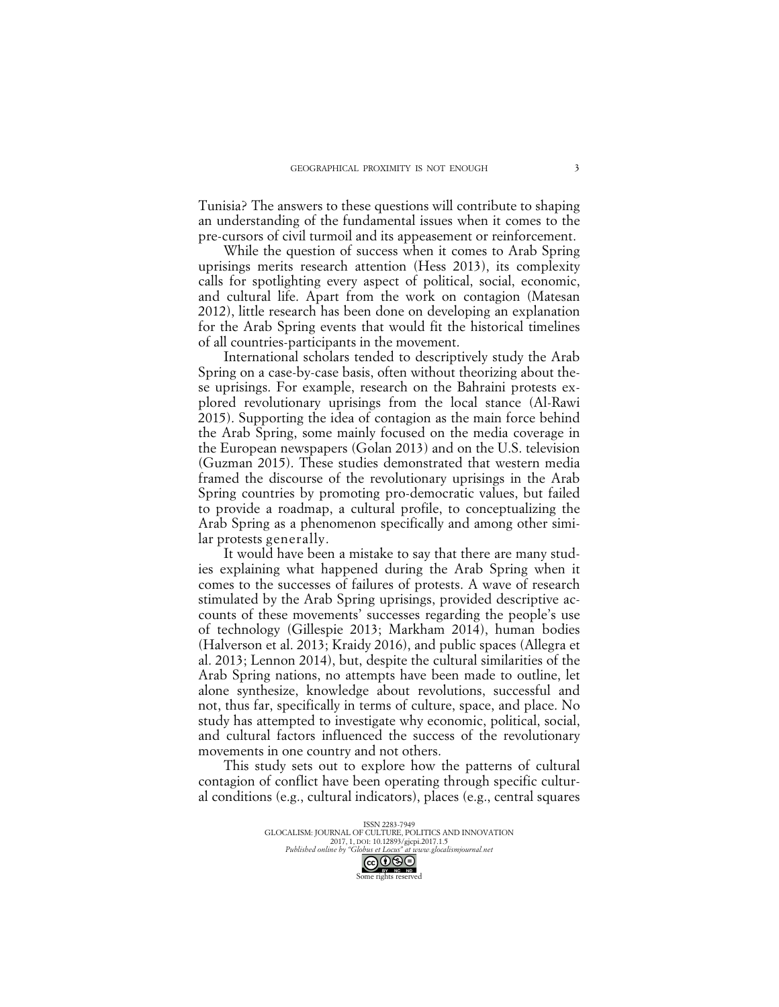Tunisia? The answers to these questions will contribute to shaping an understanding of the fundamental issues when it comes to the pre-cursors of civil turmoil and its appeasement or reinforcement.

While the question of success when it comes to Arab Spring uprisings merits research attention (Hess 2013), its complexity calls for spotlighting every aspect of political, social, economic, and cultural life. Apart from the work on contagion (Matesan 2012), little research has been done on developing an explanation for the Arab Spring events that would fit the historical timelines of all countries-participants in the movement.

International scholars tended to descriptively study the Arab Spring on a case-by-case basis, often without theorizing about these uprisings. For example, research on the Bahraini protests explored revolutionary uprisings from the local stance (Al-Rawi 2015). Supporting the idea of contagion as the main force behind the Arab Spring, some mainly focused on the media coverage in the European newspapers (Golan 2013) and on the U.S. television (Guzman 2015). These studies demonstrated that western media framed the discourse of the revolutionary uprisings in the Arab Spring countries by promoting pro-democratic values, but failed to provide a roadmap, a cultural profile, to conceptualizing the Arab Spring as a phenomenon specifically and among other similar protests generally.

It would have been a mistake to say that there are many studies explaining what happened during the Arab Spring when it comes to the successes of failures of protests. A wave of research stimulated by the Arab Spring uprisings, provided descriptive accounts of these movements' successes regarding the people's use of technology (Gillespie 2013; Markham 2014), human bodies (Halverson et al. 2013; Kraidy 2016), and public spaces (Allegra et al. 2013; Lennon 2014), but, despite the cultural similarities of the Arab Spring nations, no attempts have been made to outline, let alone synthesize, knowledge about revolutions, successful and not, thus far, specifically in terms of culture, space, and place. No study has attempted to investigate why economic, political, social, and cultural factors influenced the success of the revolutionary movements in one country and not others.

This study sets out to explore how the patterns of cultural contagion of conflict have been operating through specific cultural conditions (e.g., cultural indicators), places (e.g., central squares

> ISSN 2283-7949 GLOCALISM: JOURNAL OF CULTURE, POLITICS AND INNOVATION 2017, 1, DOI: 10.12893/gjcpi.2017.1.5 *Published online by "Globus et Locus" at www.glocalismjournal.net* COOSE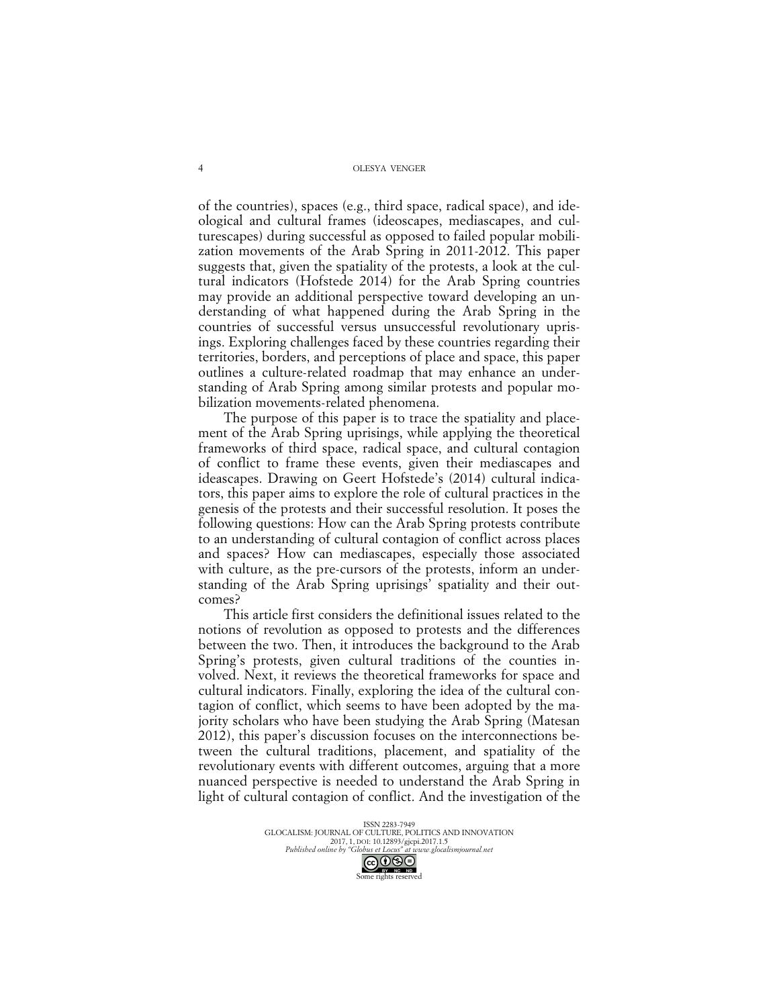of the countries), spaces (e.g., third space, radical space), and ideological and cultural frames (ideoscapes, mediascapes, and culturescapes) during successful as opposed to failed popular mobilization movements of the Arab Spring in 2011-2012. This paper suggests that, given the spatiality of the protests, a look at the cultural indicators (Hofstede 2014) for the Arab Spring countries may provide an additional perspective toward developing an understanding of what happened during the Arab Spring in the countries of successful versus unsuccessful revolutionary uprisings. Exploring challenges faced by these countries regarding their territories, borders, and perceptions of place and space, this paper outlines a culture-related roadmap that may enhance an understanding of Arab Spring among similar protests and popular mobilization movements-related phenomena.

The purpose of this paper is to trace the spatiality and placement of the Arab Spring uprisings, while applying the theoretical frameworks of third space, radical space, and cultural contagion of conflict to frame these events, given their mediascapes and ideascapes. Drawing on Geert Hofstede's (2014) cultural indicators, this paper aims to explore the role of cultural practices in the genesis of the protests and their successful resolution. It poses the following questions: How can the Arab Spring protests contribute to an understanding of cultural contagion of conflict across places and spaces? How can mediascapes, especially those associated with culture, as the pre-cursors of the protests, inform an understanding of the Arab Spring uprisings' spatiality and their outcomes?

This article first considers the definitional issues related to the notions of revolution as opposed to protests and the differences between the two. Then, it introduces the background to the Arab Spring's protests, given cultural traditions of the counties involved. Next, it reviews the theoretical frameworks for space and cultural indicators. Finally, exploring the idea of the cultural contagion of conflict, which seems to have been adopted by the majority scholars who have been studying the Arab Spring (Matesan 2012), this paper's discussion focuses on the interconnections between the cultural traditions, placement, and spatiality of the revolutionary events with different outcomes, arguing that a more nuanced perspective is needed to understand the Arab Spring in light of cultural contagion of conflict. And the investigation of the

> ISSN 2283-7949 GLOCALISM: JOURNAL OF CULTURE, POLITICS AND INNOVATION 2017, 1, DOI: 10.12893/gjcpi.2017.1.5 *Published online by "Globus et Locus" at www.glocalismjournal.net* GOSO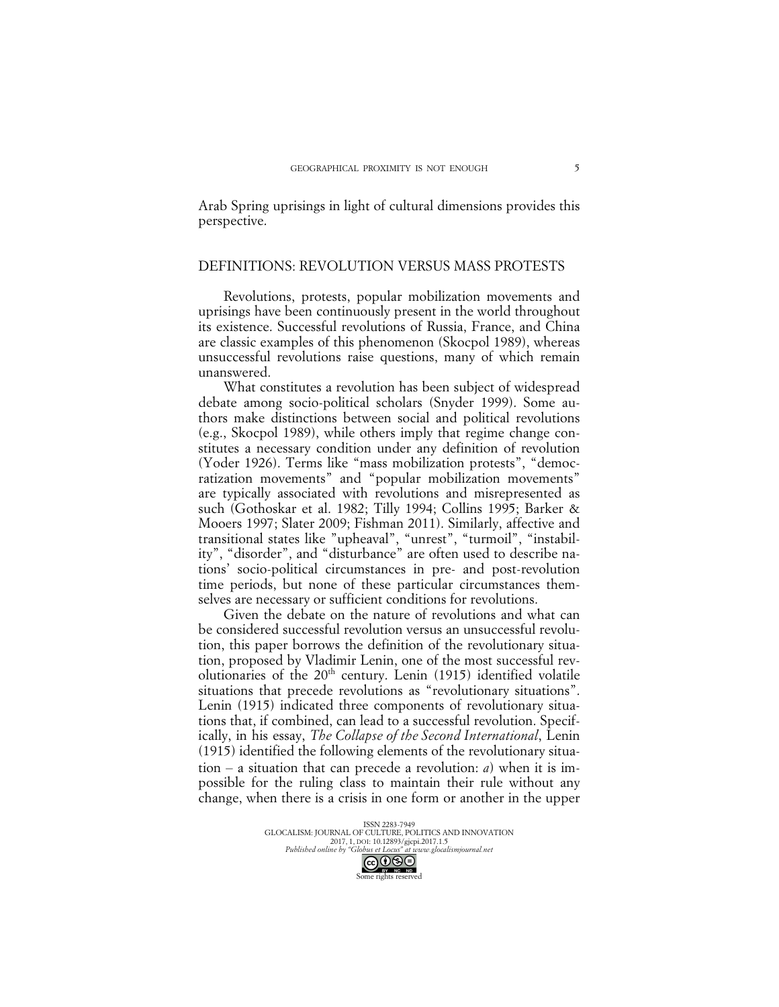Arab Spring uprisings in light of cultural dimensions provides this perspective.

# DEFINITIONS: REVOLUTION VERSUS MASS PROTESTS

Revolutions, protests, popular mobilization movements and uprisings have been continuously present in the world throughout its existence. Successful revolutions of Russia, France, and China are classic examples of this phenomenon (Skocpol 1989), whereas unsuccessful revolutions raise questions, many of which remain unanswered.

What constitutes a revolution has been subject of widespread debate among socio-political scholars (Snyder 1999). Some authors make distinctions between social and political revolutions (e.g., Skocpol 1989), while others imply that regime change constitutes a necessary condition under any definition of revolution (Yoder 1926). Terms like "mass mobilization protests", "democratization movements" and "popular mobilization movements" are typically associated with revolutions and misrepresented as such (Gothoskar et al. 1982; Tilly 1994; Collins 1995; Barker & Mooers 1997; Slater 2009; Fishman 2011). Similarly, affective and transitional states like "upheaval", "unrest", "turmoil", "instability", "disorder", and "disturbance" are often used to describe nations' socio-political circumstances in pre- and post-revolution time periods, but none of these particular circumstances themselves are necessary or sufficient conditions for revolutions.

Given the debate on the nature of revolutions and what can be considered successful revolution versus an unsuccessful revolution, this paper borrows the definition of the revolutionary situation, proposed by Vladimir Lenin, one of the most successful revolutionaries of the 20<sup>th</sup> century. Lenin (1915) identified volatile situations that precede revolutions as "revolutionary situations". Lenin (1915) indicated three components of revolutionary situations that, if combined, can lead to a successful revolution. Specifically, in his essay, *The Collapse of the Second International*, Lenin (1915) identified the following elements of the revolutionary situation  $-$  a situation that can precede a revolution: *a*) when it is impossible for the ruling class to maintain their rule without any change, when there is a crisis in one form or another in the upper

> ISSN 2283-7949 GLOCALISM: JOURNAL OF CULTURE, POLITICS AND INNOVATION 2017, 1, DOI: 10.12893/gjcpi.2017.1.5 *Published online by "Globus et Locus" at www.glocalismjournal.net* Some rights reserved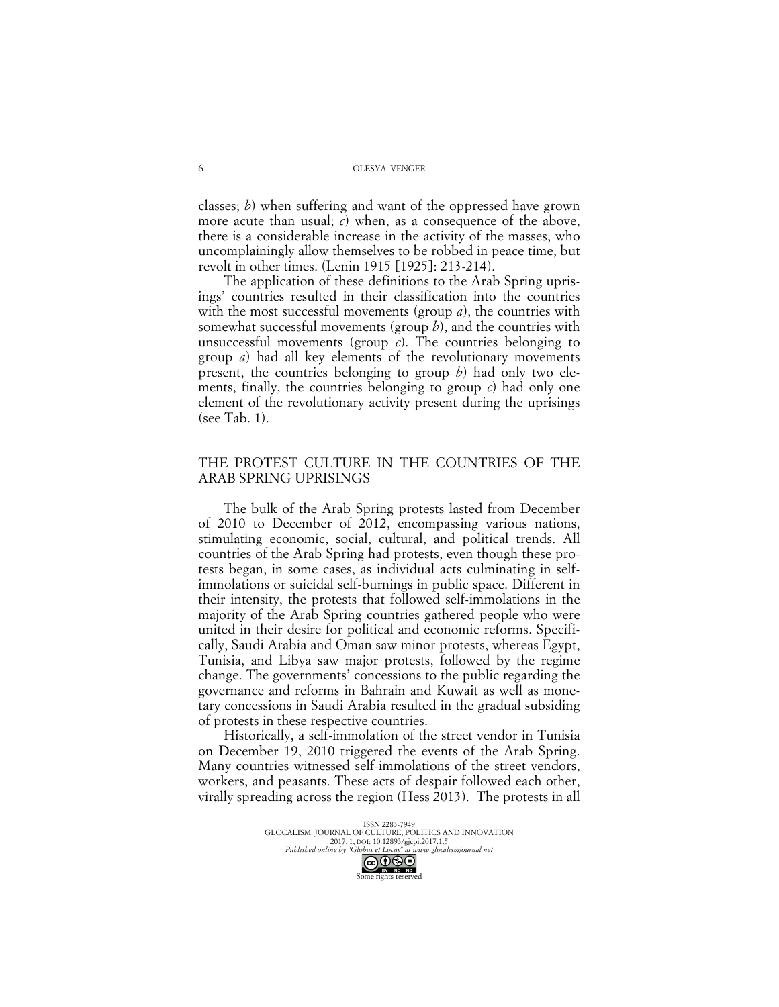classes; *b*) when suffering and want of the oppressed have grown more acute than usual; *c*) when, as a consequence of the above, there is a considerable increase in the activity of the masses, who uncomplainingly allow themselves to be robbed in peace time, but revolt in other times. (Lenin 1915 [1925]: 213-214).

The application of these definitions to the Arab Spring uprisings' countries resulted in their classification into the countries with the most successful movements (group *a*), the countries with somewhat successful movements (group *b*), and the countries with unsuccessful movements (group *c*). The countries belonging to group *a*) had all key elements of the revolutionary movements present, the countries belonging to group *b*) had only two elements, finally, the countries belonging to group *c*) had only one element of the revolutionary activity present during the uprisings (see Tab. 1).

## THE PROTEST CULTURE IN THE COUNTRIES OF THE ARAB SPRING UPRISINGS

The bulk of the Arab Spring protests lasted from December of 2010 to December of 2012, encompassing various nations, stimulating economic, social, cultural, and political trends. All countries of the Arab Spring had protests, even though these protests began, in some cases, as individual acts culminating in selfimmolations or suicidal self-burnings in public space. Different in their intensity, the protests that followed self-immolations in the majority of the Arab Spring countries gathered people who were united in their desire for political and economic reforms. Specifically, Saudi Arabia and Oman saw minor protests, whereas Egypt, Tunisia, and Libya saw major protests, followed by the regime change. The governments' concessions to the public regarding the governance and reforms in Bahrain and Kuwait as well as monetary concessions in Saudi Arabia resulted in the gradual subsiding of protests in these respective countries.

Historically, a self-immolation of the street vendor in Tunisia on December 19, 2010 triggered the events of the Arab Spring. Many countries witnessed self-immolations of the street vendors, workers, and peasants. These acts of despair followed each other, virally spreading across the region (Hess 2013). The protests in all

> ISSN 2283-7949 GLOCALISM: JOURNAL OF CULTURE, POLITICS AND INNOVATION 2017, 1, DOI: 10.12893/gjcpi.2017.1.5 *Published online by "Globus et Locus" at www.glocalismjournal.net* Some rights reserved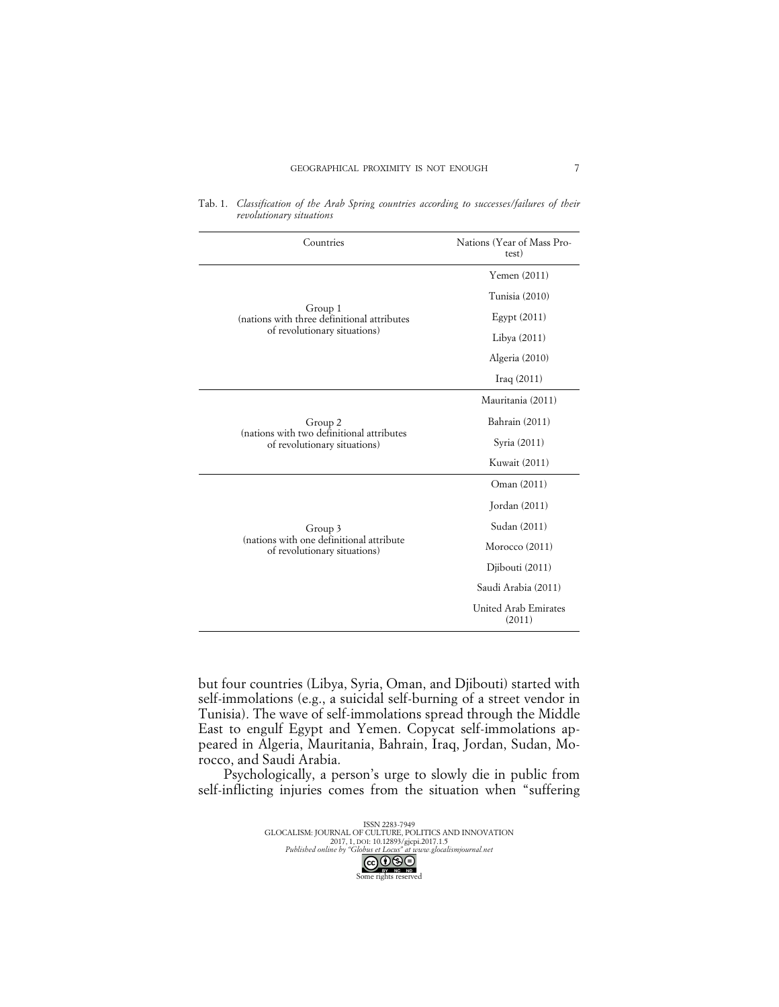| Countries                                                                 | Nations (Year of Mass Pro-<br>test) |  |  |
|---------------------------------------------------------------------------|-------------------------------------|--|--|
|                                                                           | Yemen $(2011)$                      |  |  |
|                                                                           | Tunisia (2010)                      |  |  |
| Group 1<br>(nations with three definitional attributes                    | Egypt $(2011)$                      |  |  |
| of revolutionary situations)                                              | Libya (2011)                        |  |  |
|                                                                           | Algeria (2010)                      |  |  |
|                                                                           | $\text{Iraq}(2011)$                 |  |  |
|                                                                           | Mauritania (2011)                   |  |  |
| Group 2                                                                   | Bahrain (2011)                      |  |  |
| (nations with two definitional attributes<br>of revolutionary situations) | Syria (2011)                        |  |  |
|                                                                           | Kuwait (2011)                       |  |  |
|                                                                           | Oman (2011)                         |  |  |
|                                                                           | Jordan (2011)                       |  |  |
| Group 3                                                                   | Sudan (2011)                        |  |  |
| (nations with one definitional attribute<br>of revolutionary situations)  | Morocco (2011)                      |  |  |
|                                                                           | Djibouti (2011)                     |  |  |
|                                                                           | Saudi Arabia (2011)                 |  |  |
|                                                                           | United Arab Emirates<br>(2011)      |  |  |

Tab. 1. *Classification of the Arab Spring countries according to successes/failures of their revolutionary situations*

but four countries (Libya, Syria, Oman, and Djibouti) started with self-immolations (e.g., a suicidal self-burning of a street vendor in Tunisia). The wave of self-immolations spread through the Middle East to engulf Egypt and Yemen. Copycat self-immolations appeared in Algeria, Mauritania, Bahrain, Iraq, Jordan, Sudan, Morocco, and Saudi Arabia.

Psychologically, a person's urge to slowly die in public from self-inflicting injuries comes from the situation when "suffering

> ISSN 2283-7949 GLOCALISM: JOURNAL OF CULTURE, POLITICS AND INNOVATION 2017, 1, DOI: 10.12893/gjcpi.2017.1.5 *Published online by "Globus et Locus" at www.glocalismjournal.net* COOSE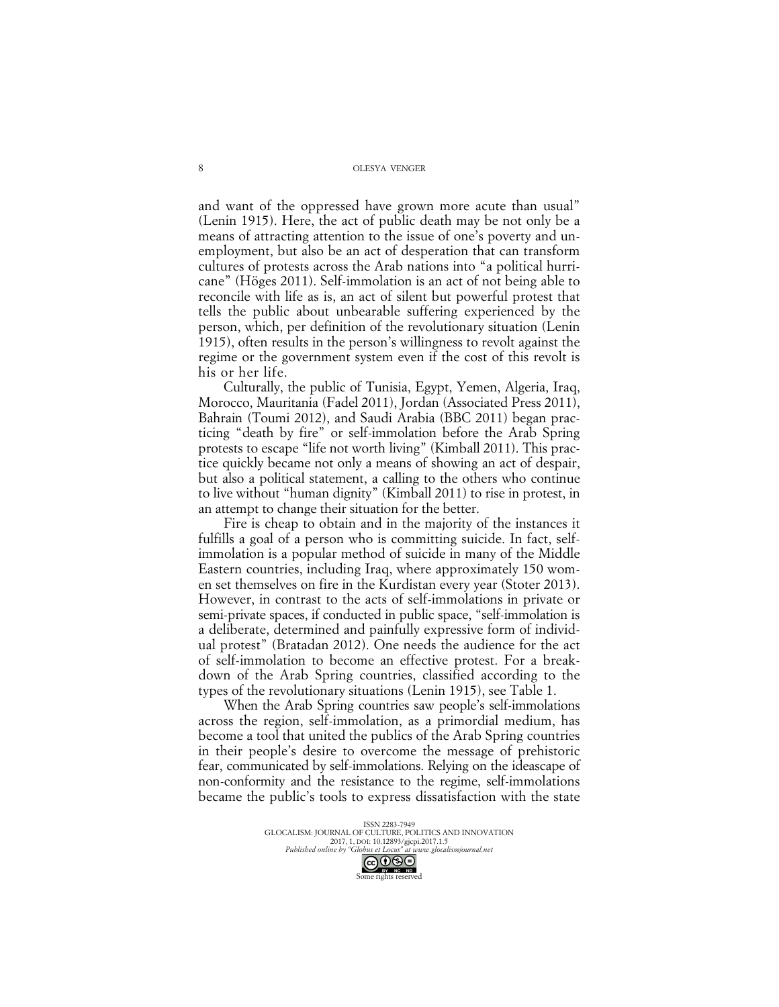and want of the oppressed have grown more acute than usual" (Lenin 1915). Here, the act of public death may be not only be a means of attracting attention to the issue of one's poverty and unemployment, but also be an act of desperation that can transform cultures of protests across the Arab nations into "a political hurricane" (Höges 2011). Self-immolation is an act of not being able to reconcile with life as is, an act of silent but powerful protest that tells the public about unbearable suffering experienced by the person, which, per definition of the revolutionary situation (Lenin 1915), often results in the person's willingness to revolt against the regime or the government system even if the cost of this revolt is his or her life.

Culturally, the public of Tunisia, Egypt, Yemen, Algeria, Iraq, Morocco, Mauritania (Fadel 2011), Jordan (Associated Press 2011), Bahrain (Toumi 2012), and Saudi Arabia (BBC 2011) began practicing "death by fire" or self-immolation before the Arab Spring protests to escape "life not worth living" (Kimball 2011). This practice quickly became not only a means of showing an act of despair, but also a political statement, a calling to the others who continue to live without "human dignity" (Kimball 2011) to rise in protest, in an attempt to change their situation for the better.

Fire is cheap to obtain and in the majority of the instances it fulfills a goal of a person who is committing suicide. In fact, selfimmolation is a popular method of suicide in many of the Middle Eastern countries, including Iraq, where approximately 150 women set themselves on fire in the Kurdistan every year (Stoter 2013). However, in contrast to the acts of self-immolations in private or semi-private spaces, if conducted in public space, "self-immolation is a deliberate, determined and painfully expressive form of individual protest" (Bratadan 2012). One needs the audience for the act of self-immolation to become an effective protest. For a breakdown of the Arab Spring countries, classified according to the types of the revolutionary situations (Lenin 1915), see Table 1.

When the Arab Spring countries saw people's self-immolations across the region, self-immolation, as a primordial medium, has become a tool that united the publics of the Arab Spring countries in their people's desire to overcome the message of prehistoric fear, communicated by self-immolations. Relying on the ideascape of non-conformity and the resistance to the regime, self-immolations became the public's tools to express dissatisfaction with the state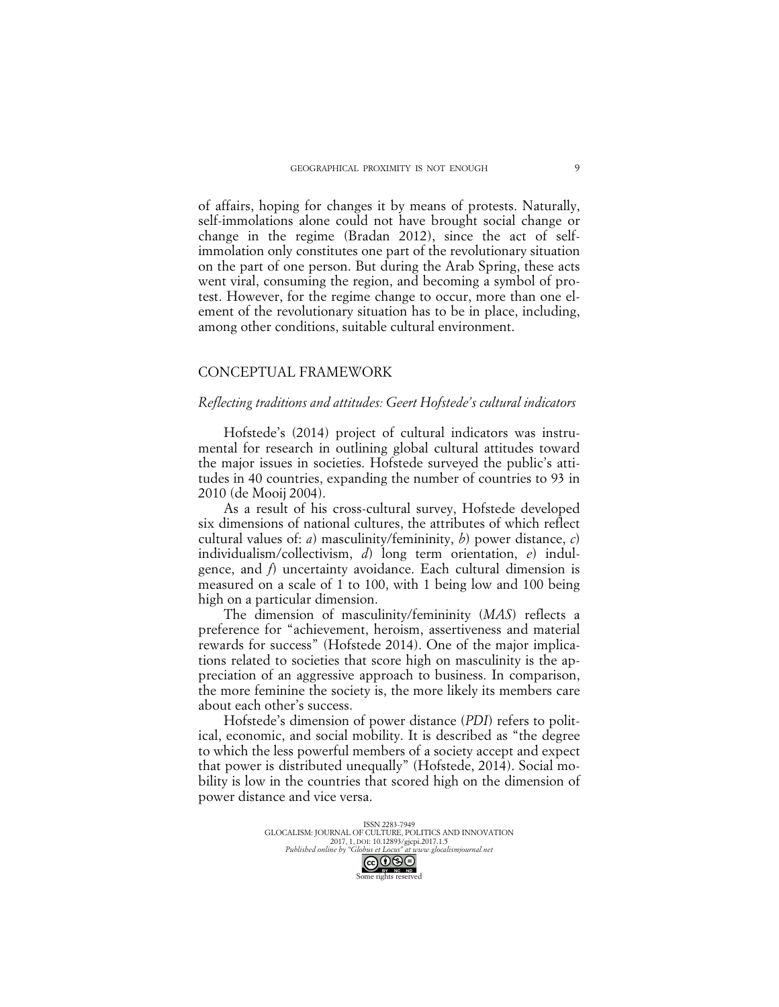of affairs, hoping for changes it by means of protests. Naturally, self-immolations alone could not have brought social change or change in the regime (Bradan 2012), since the act of selfimmolation only constitutes one part of the revolutionary situation on the part of one person. But during the Arab Spring, these acts went viral, consuming the region, and becoming a symbol of protest. However, for the regime change to occur, more than one element of the revolutionary situation has to be in place, including, among other conditions, suitable cultural environment.

## CONCEPTUAL FRAMEWORK

#### *Reflecting traditions and attitudes: Geert Hofstede's cultural indicators*

Hofstede's (2014) project of cultural indicators was instrumental for research in outlining global cultural attitudes toward the major issues in societies. Hofstede surveyed the public's attitudes in 40 countries, expanding the number of countries to 93 in 2010 (de Mooij 2004).

As a result of his cross-cultural survey, Hofstede developed six dimensions of national cultures, the attributes of which reflect cultural values of: *a*) masculinity/femininity, *b*) power distance, *c*) individualism/collectivism, *d*) long term orientation, *e*) indulgence, and *f*) uncertainty avoidance. Each cultural dimension is measured on a scale of 1 to 100, with 1 being low and 100 being high on a particular dimension.

The dimension of masculinity/femininity (*MAS*) reflects a preference for "achievement, heroism, assertiveness and material rewards for success" (Hofstede 2014). One of the major implications related to societies that score high on masculinity is the appreciation of an aggressive approach to business. In comparison, the more feminine the society is, the more likely its members care about each other's success.

Hofstede's dimension of power distance (*PDI*) refers to political, economic, and social mobility. It is described as "the degree to which the less powerful members of a society accept and expect that power is distributed unequally" (Hofstede, 2014). Social mobility is low in the countries that scored high on the dimension of power distance and vice versa.

> ISSN 2283-7949 GLOCALISM: JOURNAL OF CULTURE, POLITICS AND INNOVATION 2017, 1, DOI: 10.12893/gjcpi.2017.1.5 *Published online by "Globus et Locus" at www.glocalismjournal.net* Some rights reserved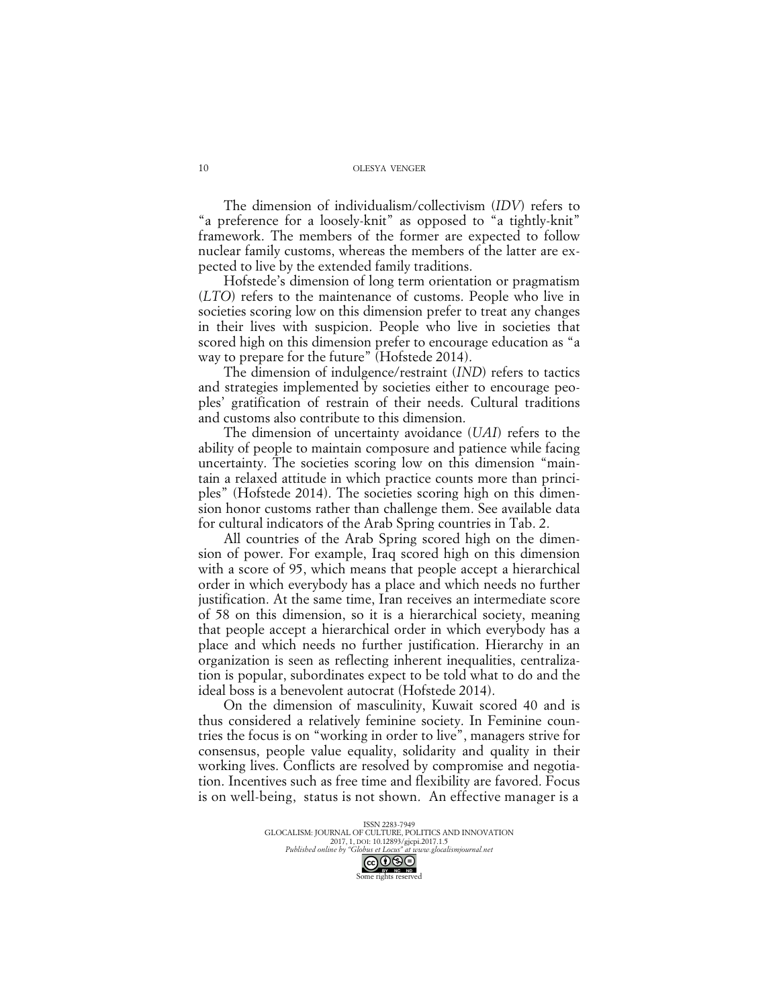The dimension of individualism/collectivism (*IDV*) refers to "a preference for a loosely-knit" as opposed to "a tightly-knit" framework. The members of the former are expected to follow nuclear family customs, whereas the members of the latter are expected to live by the extended family traditions.

Hofstede's dimension of long term orientation or pragmatism (*LTO*) refers to the maintenance of customs. People who live in societies scoring low on this dimension prefer to treat any changes in their lives with suspicion. People who live in societies that scored high on this dimension prefer to encourage education as "a way to prepare for the future" (Hofstede 2014).

The dimension of indulgence/restraint (*IND*) refers to tactics and strategies implemented by societies either to encourage peoples' gratification of restrain of their needs. Cultural traditions and customs also contribute to this dimension.

The dimension of uncertainty avoidance (*UAI*) refers to the ability of people to maintain composure and patience while facing uncertainty. The societies scoring low on this dimension "maintain a relaxed attitude in which practice counts more than principles" (Hofstede 2014). The societies scoring high on this dimension honor customs rather than challenge them. See available data for cultural indicators of the Arab Spring countries in Tab. 2.

All countries of the Arab Spring scored high on the dimension of power. For example, Iraq scored high on this dimension with a score of 95, which means that people accept a hierarchical order in which everybody has a place and which needs no further justification. At the same time, Iran receives an intermediate score of 58 on this dimension, so it is a hierarchical society, meaning that people accept a hierarchical order in which everybody has a place and which needs no further justification. Hierarchy in an organization is seen as reflecting inherent inequalities, centralization is popular, subordinates expect to be told what to do and the ideal boss is a benevolent autocrat (Hofstede 2014).

On the dimension of masculinity, Kuwait scored 40 and is thus considered a relatively feminine society. In Feminine countries the focus is on "working in order to live", managers strive for consensus, people value equality, solidarity and quality in their working lives. Conflicts are resolved by compromise and negotiation. Incentives such as free time and flexibility are favored. Focus is on well-being, status is not shown. An effective manager is a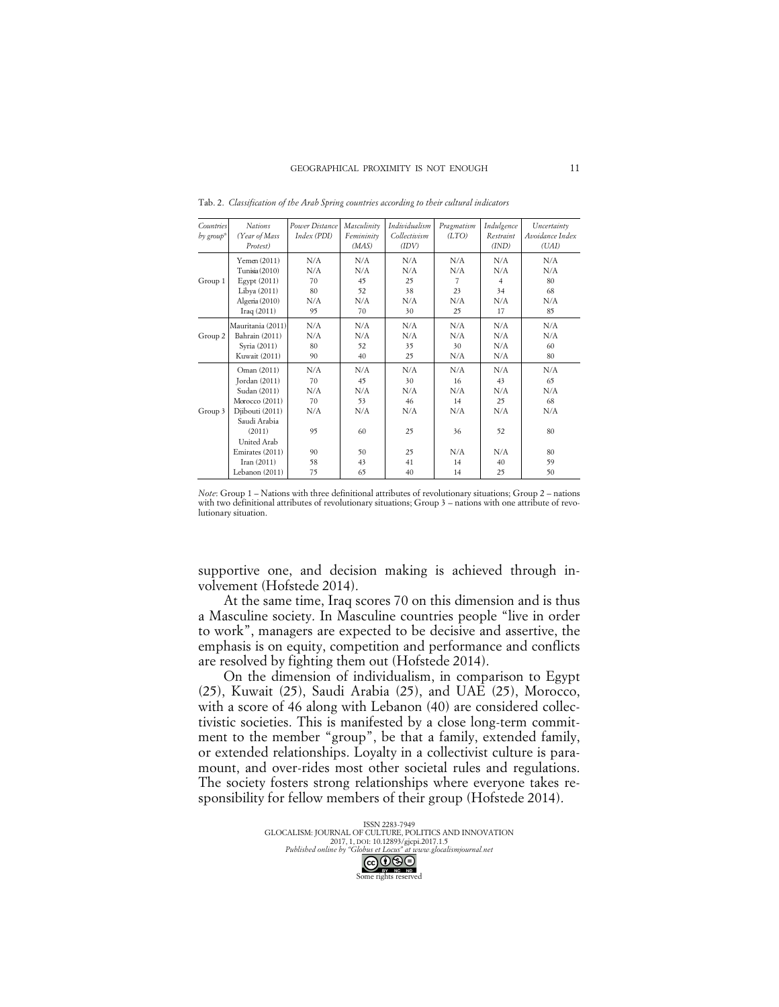| Countries<br>by group <sup>*</sup> | <b>Nations</b><br>(Year of Mass<br>Protest)                                                                                                                                      | Power Distance<br>Index (PDI)                         | Masculinity<br>Femininity<br>(MAS)                    | Individualism<br>Collectivism<br>(IDV)                | Pragmatism<br>(LTO)                                    | Indulgence<br>Restraint<br>(IND)                       | Uncertainty<br>Avoidance Index<br>(UAI)               |
|------------------------------------|----------------------------------------------------------------------------------------------------------------------------------------------------------------------------------|-------------------------------------------------------|-------------------------------------------------------|-------------------------------------------------------|--------------------------------------------------------|--------------------------------------------------------|-------------------------------------------------------|
| Group 1                            | Yemen (2011)                                                                                                                                                                     | N/A                                                   | N/A                                                   | N/A                                                   | N/A                                                    | N/A                                                    | N/A                                                   |
|                                    | Tunisia (2010)                                                                                                                                                                   | N/A                                                   | N/A                                                   | N/A                                                   | N/A                                                    | N/A                                                    | N/A                                                   |
|                                    | Egypt (2011)                                                                                                                                                                     | 70                                                    | 45                                                    | 25                                                    | 7                                                      | $\overline{4}$                                         | 80                                                    |
|                                    | Libya (2011)                                                                                                                                                                     | 80                                                    | 52                                                    | 38                                                    | 23                                                     | 34                                                     | 68                                                    |
|                                    | Algeria (2010)                                                                                                                                                                   | N/A                                                   | N/A                                                   | N/A                                                   | N/A                                                    | N/A                                                    | N/A                                                   |
|                                    | Iraq $(2011)$                                                                                                                                                                    | 95                                                    | 70                                                    | 30                                                    | 25                                                     | 17                                                     | 85                                                    |
| Group 2                            | Mauritania (2011)                                                                                                                                                                | N/A                                                   | N/A                                                   | N/A                                                   | N/A                                                    | N/A                                                    | N/A                                                   |
|                                    | Bahrain (2011)                                                                                                                                                                   | N/A                                                   | N/A                                                   | N/A                                                   | N/A                                                    | N/A                                                    | N/A                                                   |
|                                    | Syria (2011)                                                                                                                                                                     | 80                                                    | 52                                                    | 35                                                    | 30                                                     | N/A                                                    | 60                                                    |
|                                    | Kuwait (2011)                                                                                                                                                                    | 90                                                    | 40                                                    | 25                                                    | N/A                                                    | N/A                                                    | 80                                                    |
| Group 3                            | Oman (2011)<br>Jordan (2011)<br>Sudan (2011)<br>Morocco (2011)<br>Djibouti (2011)<br>Saudi Arabia<br>(2011)<br>United Arab<br>Emirates (2011)<br>Iran $(2011)$<br>Lebanon (2011) | N/A<br>70<br>N/A<br>70<br>N/A<br>95<br>90<br>58<br>75 | N/A<br>45<br>N/A<br>53<br>N/A<br>60<br>50<br>43<br>65 | N/A<br>30<br>N/A<br>46<br>N/A<br>25<br>25<br>41<br>40 | N/A<br>16<br>N/A<br>14<br>N/A<br>36<br>N/A<br>14<br>14 | N/A<br>43<br>N/A<br>25<br>N/A<br>52<br>N/A<br>40<br>25 | N/A<br>65<br>N/A<br>68<br>N/A<br>80<br>80<br>59<br>50 |

Tab. 2. *Classification of the Arab Spring countries according to their cultural indicators*

supportive one, and decision making is achieved through involvement (Hofstede 2014).

At the same time, Iraq scores 70 on this dimension and is thus a Masculine society. In Masculine countries people "live in order to work", managers are expected to be decisive and assertive, the emphasis is on equity, competition and performance and conflicts are resolved by fighting them out (Hofstede 2014).

On the dimension of individualism, in comparison to Egypt (25), Kuwait (25), Saudi Arabia (25), and UAE (25), Morocco, with a score of 46 along with Lebanon (40) are considered collectivistic societies. This is manifested by a close long-term commitment to the member "group", be that a family, extended family, or extended relationships. Loyalty in a collectivist culture is paramount, and over-rides most other societal rules and regulations. The society fosters strong relationships where everyone takes responsibility for fellow members of their group (Hofstede 2014).

> ISSN 2283-7949 GLOCALISM: JOURNAL OF CULTURE, POLITICS AND INNOVATION 2017, 1, DOI: 10.12893/gjcpi.2017.1.5 *Published online by "Globus et Locus" at www.glocalismjournal.net* നജല me rights reserved

*Note*: Group 1 – Nations with three definitional attributes of revolutionary situations; Group 2 – nations with two definitional attributes of revolutionary situations; Group 3 – nations with one attribute of revolutionary situation.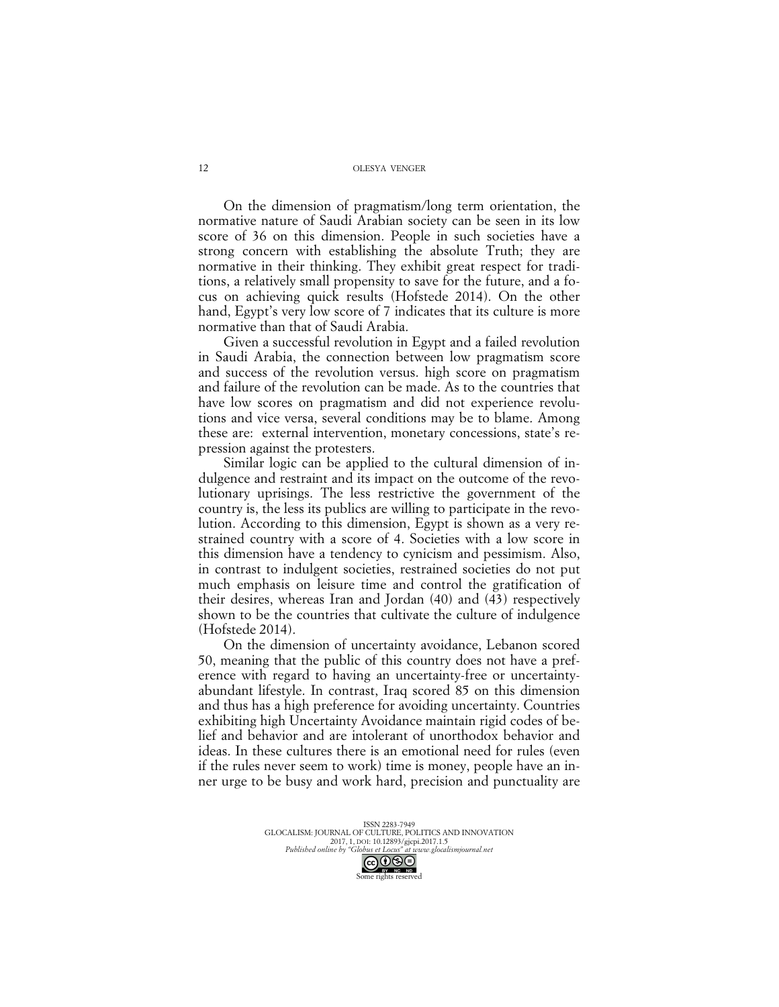On the dimension of pragmatism/long term orientation, the normative nature of Saudi Arabian society can be seen in its low score of 36 on this dimension. People in such societies have a strong concern with establishing the absolute Truth; they are normative in their thinking. They exhibit great respect for traditions, a relatively small propensity to save for the future, and a focus on achieving quick results (Hofstede 2014). On the other hand, Egypt's very low score of 7 indicates that its culture is more normative than that of Saudi Arabia.

Given a successful revolution in Egypt and a failed revolution in Saudi Arabia, the connection between low pragmatism score and success of the revolution versus. high score on pragmatism and failure of the revolution can be made. As to the countries that have low scores on pragmatism and did not experience revolutions and vice versa, several conditions may be to blame. Among these are: external intervention, monetary concessions, state's repression against the protesters.

Similar logic can be applied to the cultural dimension of indulgence and restraint and its impact on the outcome of the revolutionary uprisings. The less restrictive the government of the country is, the less its publics are willing to participate in the revolution. According to this dimension, Egypt is shown as a very restrained country with a score of 4. Societies with a low score in this dimension have a tendency to cynicism and pessimism. Also, in contrast to indulgent societies, restrained societies do not put much emphasis on leisure time and control the gratification of their desires, whereas Iran and Jordan (40) and (43) respectively shown to be the countries that cultivate the culture of indulgence (Hofstede 2014).

On the dimension of uncertainty avoidance, Lebanon scored 50, meaning that the public of this country does not have a preference with regard to having an uncertainty-free or uncertaintyabundant lifestyle. In contrast, Iraq scored 85 on this dimension and thus has a high preference for avoiding uncertainty. Countries exhibiting high Uncertainty Avoidance maintain rigid codes of belief and behavior and are intolerant of unorthodox behavior and ideas. In these cultures there is an emotional need for rules (even if the rules never seem to work) time is money, people have an inner urge to be busy and work hard, precision and punctuality are

> ISSN 2283-7949 GLOCALISM: JOURNAL OF CULTURE, POLITICS AND INNOVATION 2017, 1, DOI: 10.12893/gjcpi.2017.1.5 *Published online by "Globus et Locus" at www.glocalismjournal.net*

> > Some rights reserved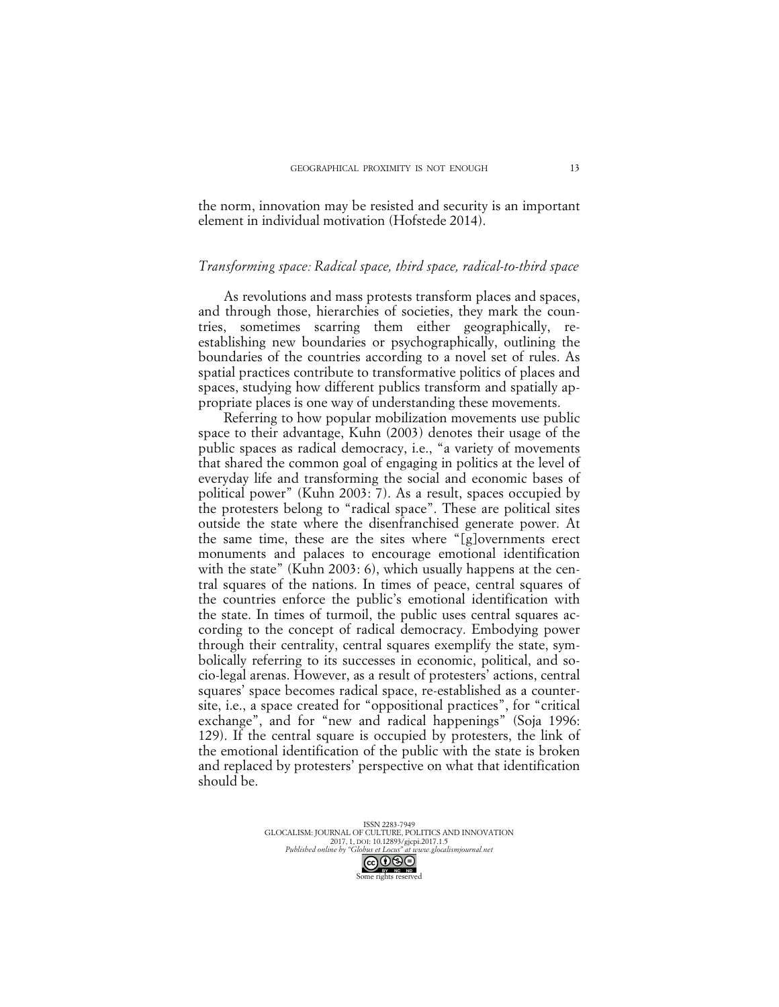the norm, innovation may be resisted and security is an important element in individual motivation (Hofstede 2014).

### *Transforming space: Radical space, third space, radical-to-third space*

As revolutions and mass protests transform places and spaces, and through those, hierarchies of societies, they mark the countries, sometimes scarring them either geographically, reestablishing new boundaries or psychographically, outlining the boundaries of the countries according to a novel set of rules. As spatial practices contribute to transformative politics of places and spaces, studying how different publics transform and spatially appropriate places is one way of understanding these movements.

Referring to how popular mobilization movements use public space to their advantage, Kuhn (2003) denotes their usage of the public spaces as radical democracy, i.e., "a variety of movements that shared the common goal of engaging in politics at the level of everyday life and transforming the social and economic bases of political power" (Kuhn 2003: 7). As a result, spaces occupied by the protesters belong to "radical space". These are political sites outside the state where the disenfranchised generate power. At the same time, these are the sites where "[g]overnments erect monuments and palaces to encourage emotional identification with the state" (Kuhn 2003: 6), which usually happens at the central squares of the nations. In times of peace, central squares of the countries enforce the public's emotional identification with the state. In times of turmoil, the public uses central squares according to the concept of radical democracy. Embodying power through their centrality, central squares exemplify the state, symbolically referring to its successes in economic, political, and socio-legal arenas. However, as a result of protesters' actions, central squares' space becomes radical space, re-established as a countersite, i.e., a space created for "oppositional practices", for "critical exchange", and for "new and radical happenings" (Soja 1996: 129). If the central square is occupied by protesters, the link of the emotional identification of the public with the state is broken and replaced by protesters' perspective on what that identification should be.

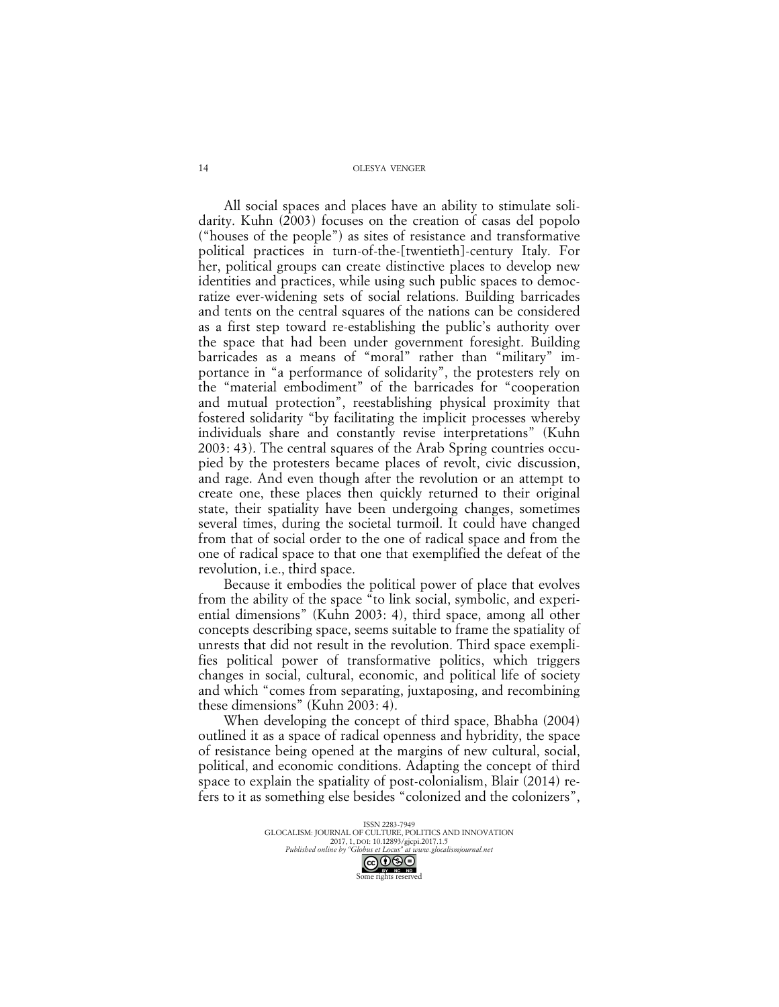All social spaces and places have an ability to stimulate solidarity. Kuhn (2003) focuses on the creation of casas del popolo ("houses of the people") as sites of resistance and transformative political practices in turn-of-the-[twentieth]-century Italy. For her, political groups can create distinctive places to develop new identities and practices, while using such public spaces to democratize ever-widening sets of social relations. Building barricades and tents on the central squares of the nations can be considered as a first step toward re-establishing the public's authority over the space that had been under government foresight. Building barricades as a means of "moral" rather than "military" importance in "a performance of solidarity", the protesters rely on the "material embodiment" of the barricades for "cooperation and mutual protection", reestablishing physical proximity that fostered solidarity "by facilitating the implicit processes whereby individuals share and constantly revise interpretations" (Kuhn 2003: 43). The central squares of the Arab Spring countries occupied by the protesters became places of revolt, civic discussion, and rage. And even though after the revolution or an attempt to create one, these places then quickly returned to their original state, their spatiality have been undergoing changes, sometimes several times, during the societal turmoil. It could have changed from that of social order to the one of radical space and from the one of radical space to that one that exemplified the defeat of the revolution, i.e., third space.

Because it embodies the political power of place that evolves from the ability of the space "to link social, symbolic, and experiential dimensions" (Kuhn 2003: 4), third space, among all other concepts describing space, seems suitable to frame the spatiality of unrests that did not result in the revolution. Third space exemplifies political power of transformative politics, which triggers changes in social, cultural, economic, and political life of society and which "comes from separating, juxtaposing, and recombining these dimensions" (Kuhn 2003: 4).

When developing the concept of third space, Bhabha (2004) outlined it as a space of radical openness and hybridity, the space of resistance being opened at the margins of new cultural, social, political, and economic conditions. Adapting the concept of third space to explain the spatiality of post-colonialism, Blair (2014) refers to it as something else besides "colonized and the colonizers",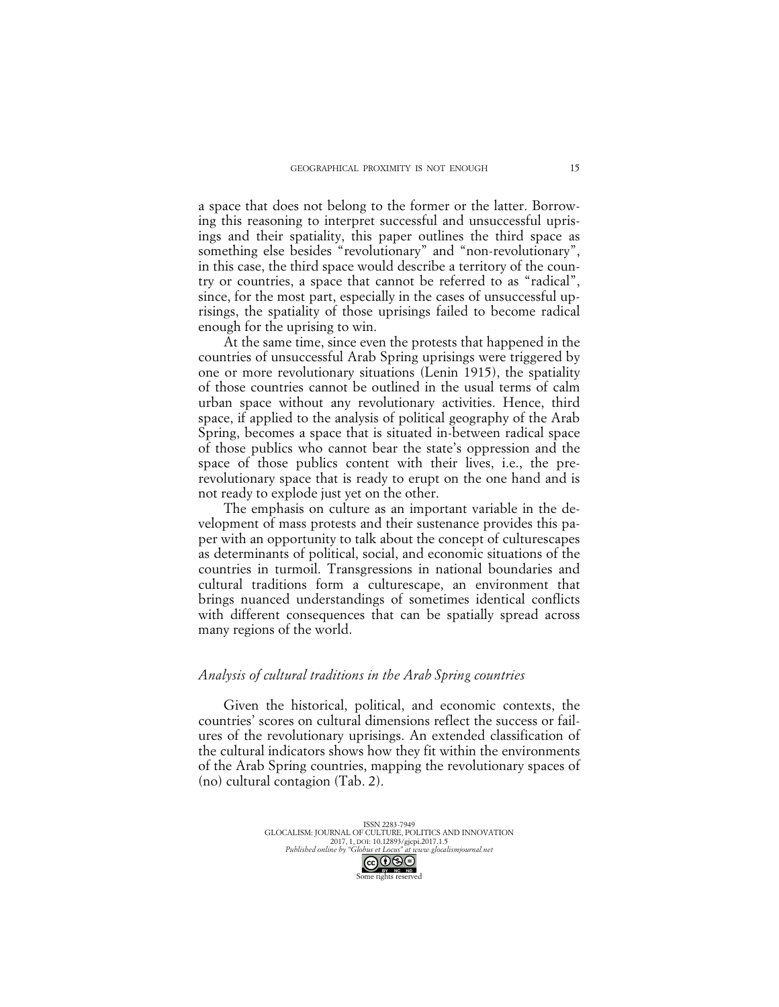a space that does not belong to the former or the latter. Borrowing this reasoning to interpret successful and unsuccessful uprisings and their spatiality, this paper outlines the third space as something else besides "revolutionary" and "non-revolutionary", in this case, the third space would describe a territory of the country or countries, a space that cannot be referred to as "radical", since, for the most part, especially in the cases of unsuccessful uprisings, the spatiality of those uprisings failed to become radical enough for the uprising to win.

At the same time, since even the protests that happened in the countries of unsuccessful Arab Spring uprisings were triggered by one or more revolutionary situations (Lenin 1915), the spatiality of those countries cannot be outlined in the usual terms of calm urban space without any revolutionary activities. Hence, third space, if applied to the analysis of political geography of the Arab Spring, becomes a space that is situated in-between radical space of those publics who cannot bear the state's oppression and the space of those publics content with their lives, i.e., the prerevolutionary space that is ready to erupt on the one hand and is not ready to explode just yet on the other.

The emphasis on culture as an important variable in the development of mass protests and their sustenance provides this paper with an opportunity to talk about the concept of culturescapes as determinants of political, social, and economic situations of the countries in turmoil. Transgressions in national boundaries and cultural traditions form a culturescape, an environment that brings nuanced understandings of sometimes identical conflicts with different consequences that can be spatially spread across many regions of the world.

### *Analysis of cultural traditions in the Arab Spring countries*

Given the historical, political, and economic contexts, the countries' scores on cultural dimensions reflect the success or failures of the revolutionary uprisings. An extended classification of the cultural indicators shows how they fit within the environments of the Arab Spring countries, mapping the revolutionary spaces of (no) cultural contagion (Tab. 2).

> ISSN 2283-7949 GLOCALISM: JOURNAL OF CULTURE, POLITICS AND INNOVATION 2017, 1, DOI: 10.12893/gjcpi.2017.1.5 *Published online by "Globus et Locus" at www.glocalismjournal.net*

> > Some rights reserved

15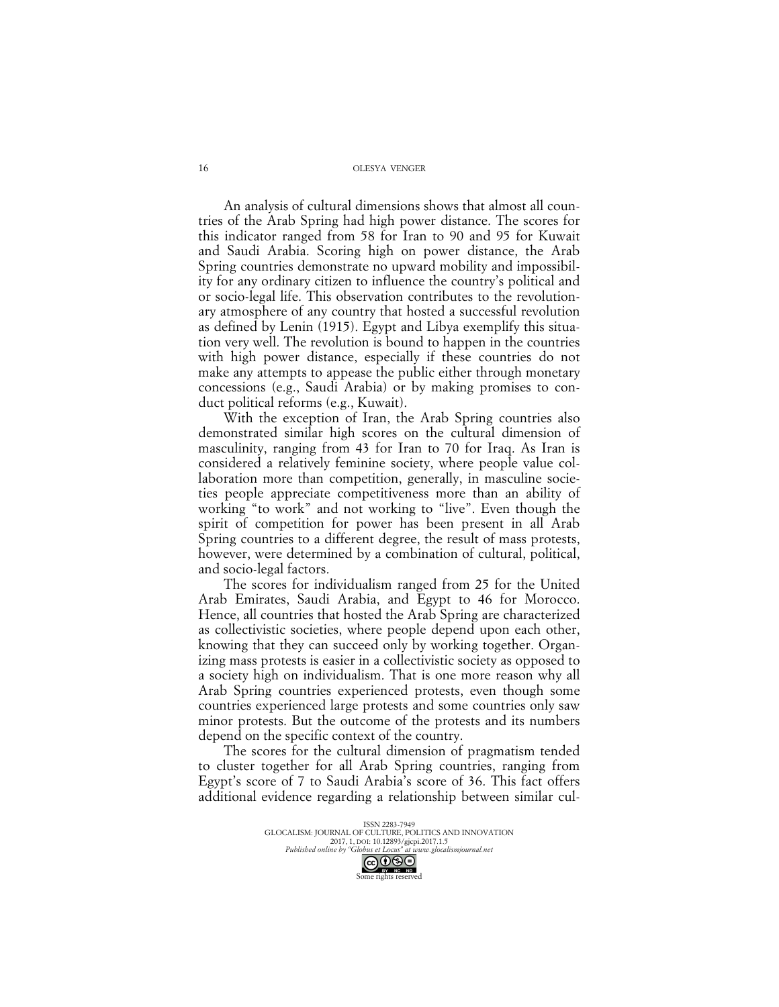An analysis of cultural dimensions shows that almost all countries of the Arab Spring had high power distance. The scores for this indicator ranged from 58 for Iran to 90 and 95 for Kuwait and Saudi Arabia. Scoring high on power distance, the Arab Spring countries demonstrate no upward mobility and impossibility for any ordinary citizen to influence the country's political and or socio-legal life. This observation contributes to the revolutionary atmosphere of any country that hosted a successful revolution as defined by Lenin (1915). Egypt and Libya exemplify this situation very well. The revolution is bound to happen in the countries with high power distance, especially if these countries do not make any attempts to appease the public either through monetary concessions (e.g., Saudi Arabia) or by making promises to conduct political reforms (e.g., Kuwait).

With the exception of Iran, the Arab Spring countries also demonstrated similar high scores on the cultural dimension of masculinity, ranging from 43 for Iran to 70 for Iraq. As Iran is considered a relatively feminine society, where people value collaboration more than competition, generally, in masculine societies people appreciate competitiveness more than an ability of working "to work" and not working to "live". Even though the spirit of competition for power has been present in all Arab Spring countries to a different degree, the result of mass protests, however, were determined by a combination of cultural, political, and socio-legal factors.

The scores for individualism ranged from 25 for the United Arab Emirates, Saudi Arabia, and Egypt to 46 for Morocco. Hence, all countries that hosted the Arab Spring are characterized as collectivistic societies, where people depend upon each other, knowing that they can succeed only by working together. Organizing mass protests is easier in a collectivistic society as opposed to a society high on individualism. That is one more reason why all Arab Spring countries experienced protests, even though some countries experienced large protests and some countries only saw minor protests. But the outcome of the protests and its numbers depend on the specific context of the country.

The scores for the cultural dimension of pragmatism tended to cluster together for all Arab Spring countries, ranging from Egypt's score of 7 to Saudi Arabia's score of 36. This fact offers additional evidence regarding a relationship between similar cul-

> ISSN 2283-7949 GLOCALISM: JOURNAL OF CULTURE, POLITICS AND INNOVATION 2017, 1, DOI: 10.12893/gjcpi.2017.1.5 *Published online by "Globus et Locus" at www.glocalismjournal.net* CO **O** S O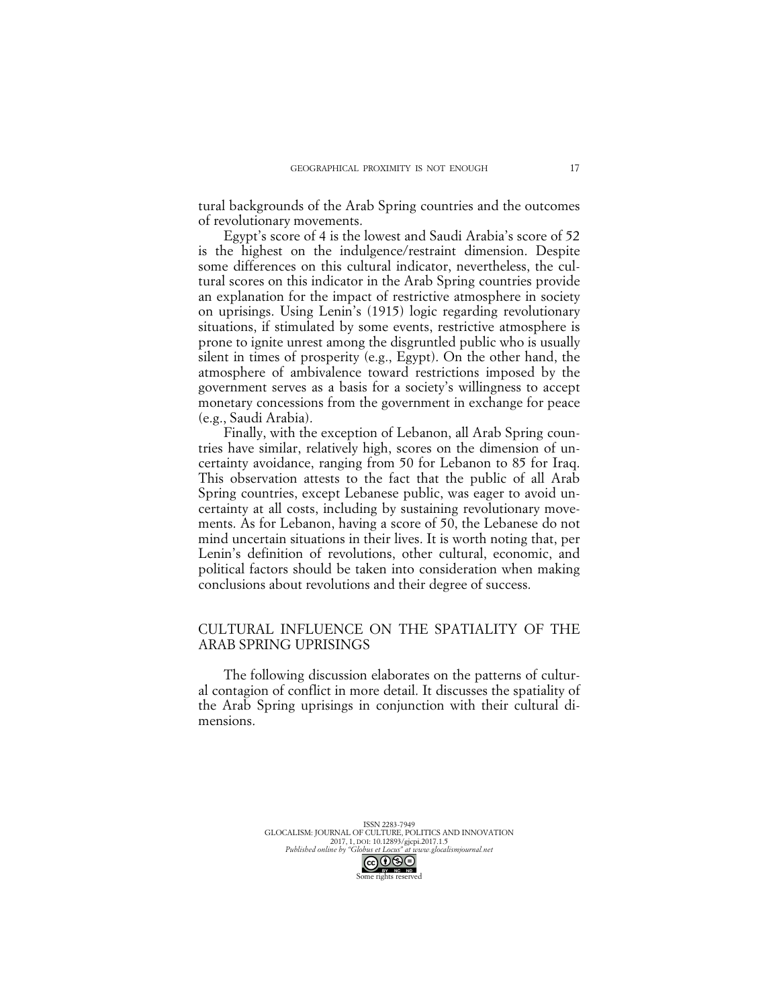tural backgrounds of the Arab Spring countries and the outcomes of revolutionary movements.

Egypt's score of 4 is the lowest and Saudi Arabia's score of 52 is the highest on the indulgence/restraint dimension. Despite some differences on this cultural indicator, nevertheless, the cultural scores on this indicator in the Arab Spring countries provide an explanation for the impact of restrictive atmosphere in society on uprisings. Using Lenin's (1915) logic regarding revolutionary situations, if stimulated by some events, restrictive atmosphere is prone to ignite unrest among the disgruntled public who is usually silent in times of prosperity (e.g., Egypt). On the other hand, the atmosphere of ambivalence toward restrictions imposed by the government serves as a basis for a society's willingness to accept monetary concessions from the government in exchange for peace (e.g., Saudi Arabia).

Finally, with the exception of Lebanon, all Arab Spring countries have similar, relatively high, scores on the dimension of uncertainty avoidance, ranging from 50 for Lebanon to 85 for Iraq. This observation attests to the fact that the public of all Arab Spring countries, except Lebanese public, was eager to avoid uncertainty at all costs, including by sustaining revolutionary movements. As for Lebanon, having a score of 50, the Lebanese do not mind uncertain situations in their lives. It is worth noting that, per Lenin's definition of revolutions, other cultural, economic, and political factors should be taken into consideration when making conclusions about revolutions and their degree of success.

# CULTURAL INFLUENCE ON THE SPATIALITY OF THE ARAB SPRING UPRISINGS

The following discussion elaborates on the patterns of cultural contagion of conflict in more detail. It discusses the spatiality of the Arab Spring uprisings in conjunction with their cultural dimensions.

ISSN 2283-7949 GLOCALISM: JOURNAL OF CULTURE, POLITICS AND INNOVATION 2017, 1, DOI: 10.12893/gjcpi.2017.1.5<br>Published online by "Globus et Locus" at www.glocal. *Published online by "Globus et Locus" at www.glocalismjournal.net*

Some rights reserved

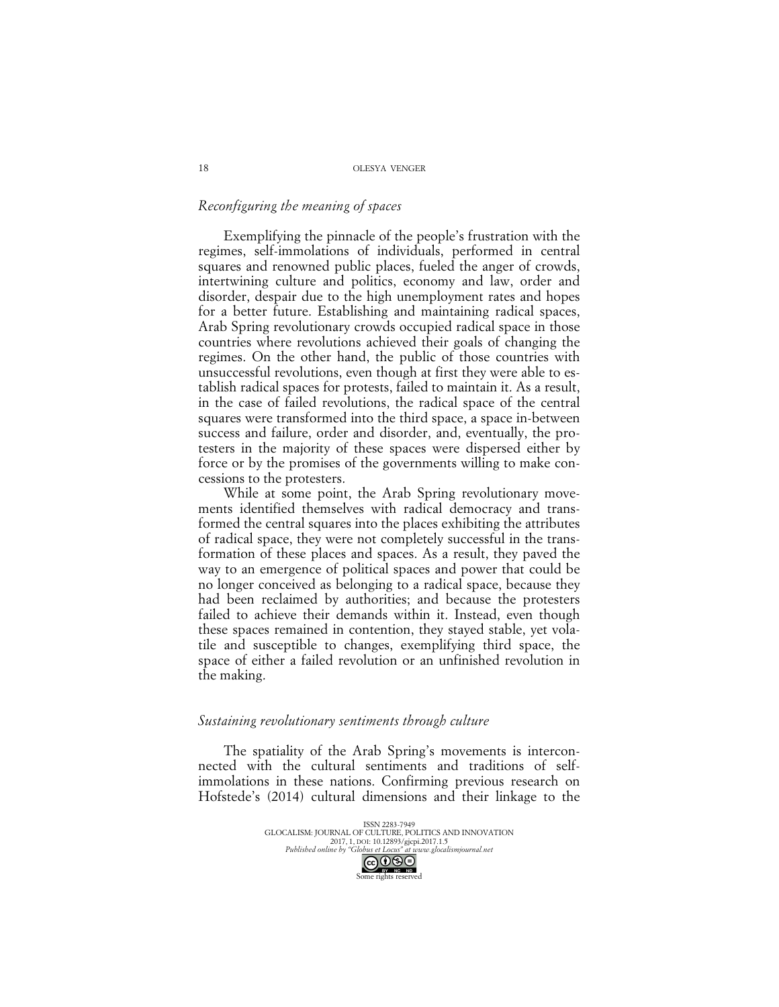## *Reconfiguring the meaning of spaces*

Exemplifying the pinnacle of the people's frustration with the regimes, self-immolations of individuals, performed in central squares and renowned public places, fueled the anger of crowds, intertwining culture and politics, economy and law, order and disorder, despair due to the high unemployment rates and hopes for a better future. Establishing and maintaining radical spaces, Arab Spring revolutionary crowds occupied radical space in those countries where revolutions achieved their goals of changing the regimes. On the other hand, the public of those countries with unsuccessful revolutions, even though at first they were able to establish radical spaces for protests, failed to maintain it. As a result, in the case of failed revolutions, the radical space of the central squares were transformed into the third space, a space in-between success and failure, order and disorder, and, eventually, the protesters in the majority of these spaces were dispersed either by force or by the promises of the governments willing to make concessions to the protesters.

While at some point, the Arab Spring revolutionary movements identified themselves with radical democracy and transformed the central squares into the places exhibiting the attributes of radical space, they were not completely successful in the transformation of these places and spaces. As a result, they paved the way to an emergence of political spaces and power that could be no longer conceived as belonging to a radical space, because they had been reclaimed by authorities; and because the protesters failed to achieve their demands within it. Instead, even though these spaces remained in contention, they stayed stable, yet volatile and susceptible to changes, exemplifying third space, the space of either a failed revolution or an unfinished revolution in the making.

### *Sustaining revolutionary sentiments through culture*

The spatiality of the Arab Spring's movements is interconnected with the cultural sentiments and traditions of selfimmolations in these nations. Confirming previous research on Hofstede's (2014) cultural dimensions and their linkage to the

> ISSN 2283-7949 GLOCALISM: JOURNAL OF CULTURE, POLITICS AND INNOVATION 2017, 1, DOI: 10.12893/gjcpi.2017.1.5 *Published online by "Globus et Locus" at www.glocalismjournal.net* Some rights reserved

18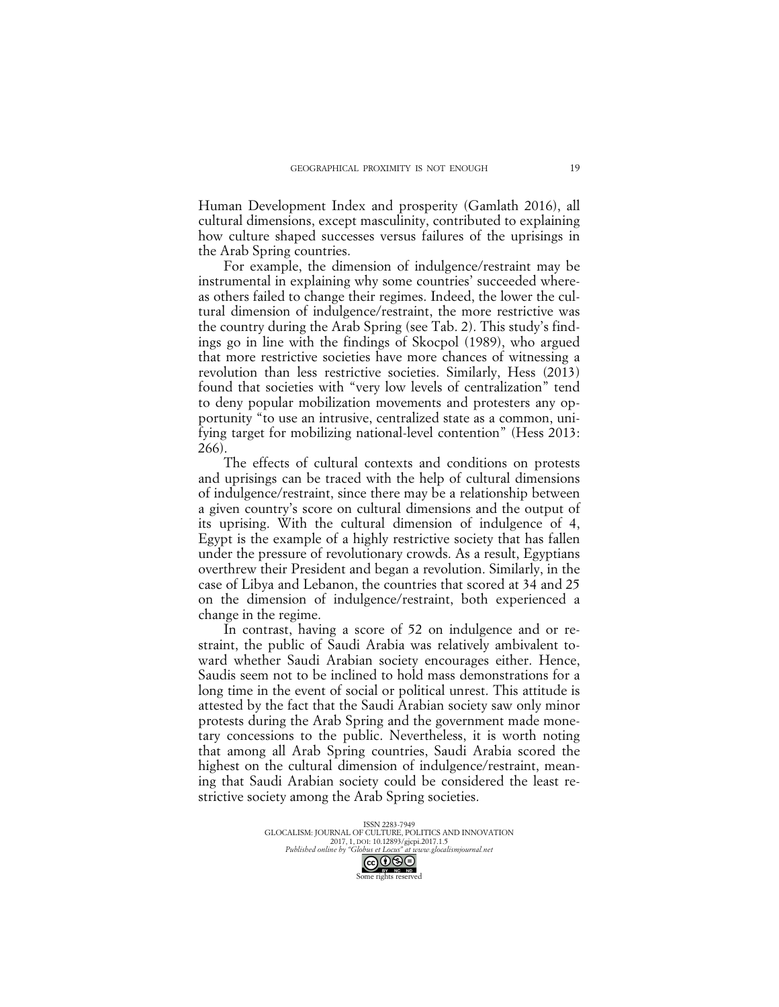Human Development Index and prosperity (Gamlath 2016), all cultural dimensions, except masculinity, contributed to explaining how culture shaped successes versus failures of the uprisings in the Arab Spring countries.

For example, the dimension of indulgence/restraint may be instrumental in explaining why some countries' succeeded whereas others failed to change their regimes. Indeed, the lower the cultural dimension of indulgence/restraint, the more restrictive was the country during the Arab Spring (see Tab. 2). This study's findings go in line with the findings of Skocpol (1989), who argued that more restrictive societies have more chances of witnessing a revolution than less restrictive societies. Similarly, Hess (2013) found that societies with "very low levels of centralization" tend to deny popular mobilization movements and protesters any opportunity "to use an intrusive, centralized state as a common, unifying target for mobilizing national-level contention" (Hess 2013: 266).

The effects of cultural contexts and conditions on protests and uprisings can be traced with the help of cultural dimensions of indulgence/restraint, since there may be a relationship between a given country's score on cultural dimensions and the output of its uprising. With the cultural dimension of indulgence of 4, Egypt is the example of a highly restrictive society that has fallen under the pressure of revolutionary crowds. As a result, Egyptians overthrew their President and began a revolution. Similarly, in the case of Libya and Lebanon, the countries that scored at 34 and 25 on the dimension of indulgence/restraint, both experienced a change in the regime.

In contrast, having a score of 52 on indulgence and or restraint, the public of Saudi Arabia was relatively ambivalent toward whether Saudi Arabian society encourages either. Hence, Saudis seem not to be inclined to hold mass demonstrations for a long time in the event of social or political unrest. This attitude is attested by the fact that the Saudi Arabian society saw only minor protests during the Arab Spring and the government made monetary concessions to the public. Nevertheless, it is worth noting that among all Arab Spring countries, Saudi Arabia scored the highest on the cultural dimension of indulgence/restraint, meaning that Saudi Arabian society could be considered the least restrictive society among the Arab Spring societies.

> ISSN 2283-7949 GLOCALISM: JOURNAL OF CULTURE, POLITICS AND INNOVATION 2017, 1, DOI: 10.12893/gjcpi.2017.1.5 *Published online by "Globus et Locus" at www.glocalismjournal.net* CC **O**S **S**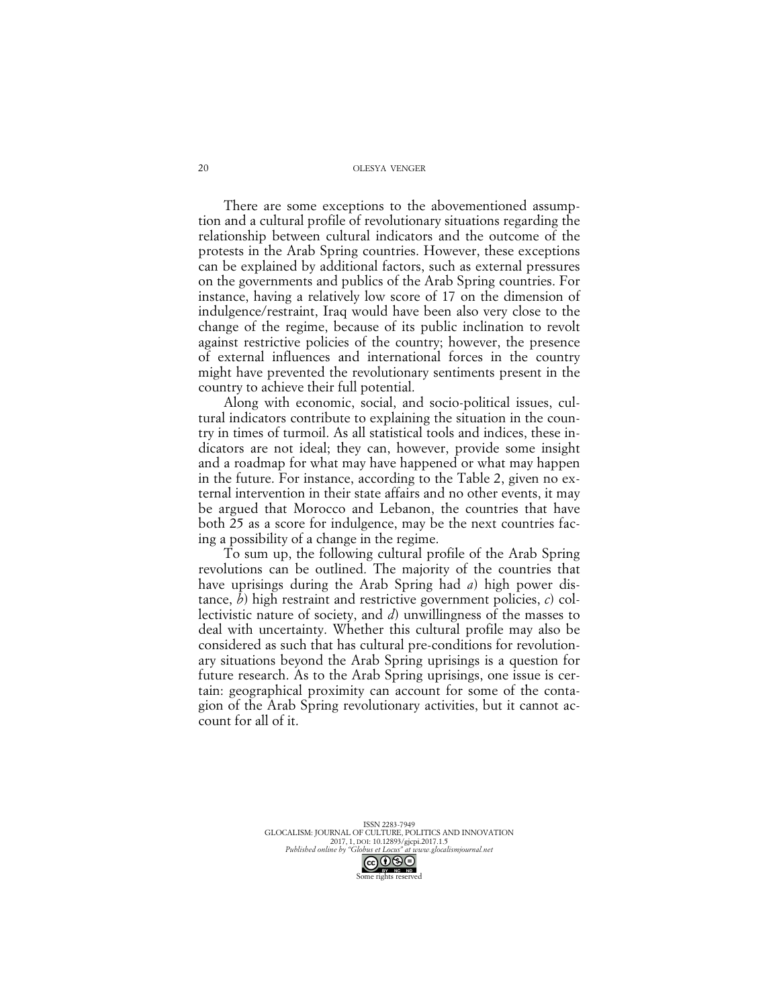There are some exceptions to the abovementioned assumption and a cultural profile of revolutionary situations regarding the relationship between cultural indicators and the outcome of the protests in the Arab Spring countries. However, these exceptions can be explained by additional factors, such as external pressures on the governments and publics of the Arab Spring countries. For instance, having a relatively low score of 17 on the dimension of indulgence/restraint, Iraq would have been also very close to the change of the regime, because of its public inclination to revolt against restrictive policies of the country; however, the presence of external influences and international forces in the country might have prevented the revolutionary sentiments present in the country to achieve their full potential.

Along with economic, social, and socio-political issues, cultural indicators contribute to explaining the situation in the country in times of turmoil. As all statistical tools and indices, these indicators are not ideal; they can, however, provide some insight and a roadmap for what may have happened or what may happen in the future. For instance, according to the Table 2, given no external intervention in their state affairs and no other events, it may be argued that Morocco and Lebanon, the countries that have both 25 as a score for indulgence, may be the next countries facing a possibility of a change in the regime.

To sum up, the following cultural profile of the Arab Spring revolutions can be outlined. The majority of the countries that have uprisings during the Arab Spring had *a*) high power distance, *b*) high restraint and restrictive government policies, *c*) collectivistic nature of society, and *d*) unwillingness of the masses to deal with uncertainty. Whether this cultural profile may also be considered as such that has cultural pre-conditions for revolutionary situations beyond the Arab Spring uprisings is a question for future research. As to the Arab Spring uprisings, one issue is certain: geographical proximity can account for some of the contagion of the Arab Spring revolutionary activities, but it cannot account for all of it.

> ISSN 2283-7949 GLOCALISM: JOURNAL OF CULTURE, POLITICS AND INNOVATION 2017, 1, DOI: 10.12893/gjcpi.2017.1.5 *Published online by "Globus et Locus" at www.glocalismjournal.net*

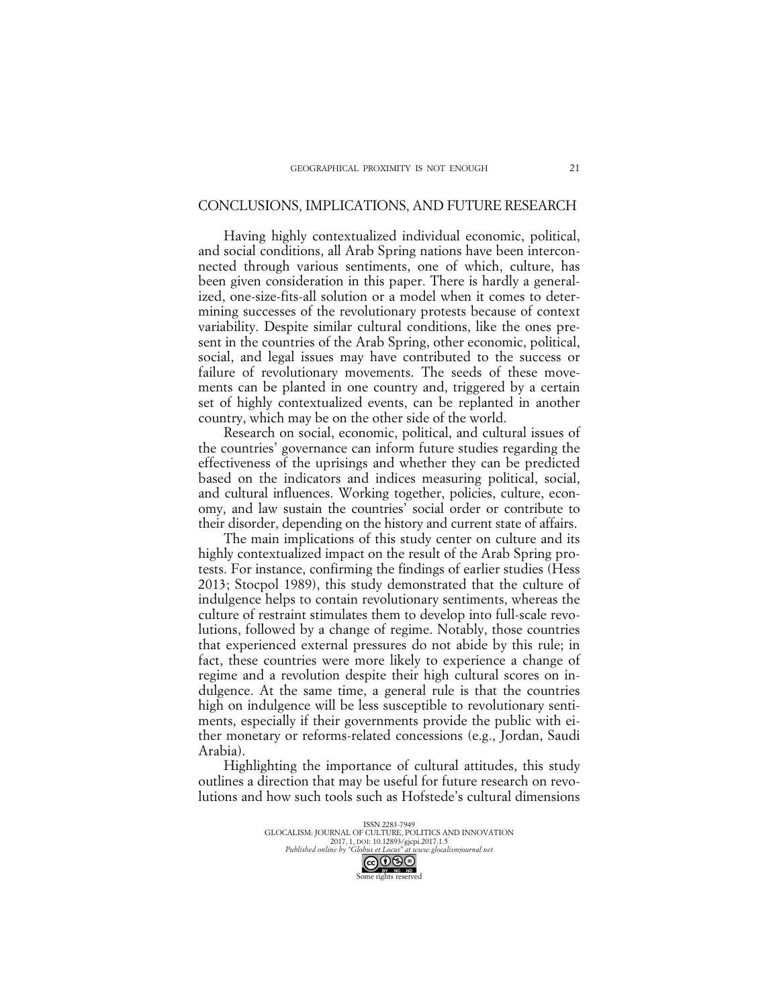### CONCLUSIONS, IMPLICATIONS, AND FUTURE RESEARCH

Having highly contextualized individual economic, political, and social conditions, all Arab Spring nations have been interconnected through various sentiments, one of which, culture, has been given consideration in this paper. There is hardly a generalized, one-size-fits-all solution or a model when it comes to determining successes of the revolutionary protests because of context variability. Despite similar cultural conditions, like the ones present in the countries of the Arab Spring, other economic, political, social, and legal issues may have contributed to the success or failure of revolutionary movements. The seeds of these movements can be planted in one country and, triggered by a certain set of highly contextualized events, can be replanted in another country, which may be on the other side of the world.

Research on social, economic, political, and cultural issues of the countries' governance can inform future studies regarding the effectiveness of the uprisings and whether they can be predicted based on the indicators and indices measuring political, social, and cultural influences. Working together, policies, culture, economy, and law sustain the countries' social order or contribute to their disorder, depending on the history and current state of affairs.

The main implications of this study center on culture and its highly contextualized impact on the result of the Arab Spring protests. For instance, confirming the findings of earlier studies (Hess 2013; Stocpol 1989), this study demonstrated that the culture of indulgence helps to contain revolutionary sentiments, whereas the culture of restraint stimulates them to develop into full-scale revolutions, followed by a change of regime. Notably, those countries that experienced external pressures do not abide by this rule; in fact, these countries were more likely to experience a change of regime and a revolution despite their high cultural scores on indulgence. At the same time, a general rule is that the countries high on indulgence will be less susceptible to revolutionary sentiments, especially if their governments provide the public with either monetary or reforms-related concessions (e.g., Jordan, Saudi Arabia).

Highlighting the importance of cultural attitudes, this study outlines a direction that may be useful for future research on revolutions and how such tools such as Hofstede's cultural dimensions

> ISSN 2283-7949 GLOCALISM: JOURNAL OF CULTURE, POLITICS AND INNOVATION 2017, 1, DOI: 10.12893/gjcpi.2017.1.5 *Published online by "Globus et Locus" at www.glocalismjournal.net* CO **O** S O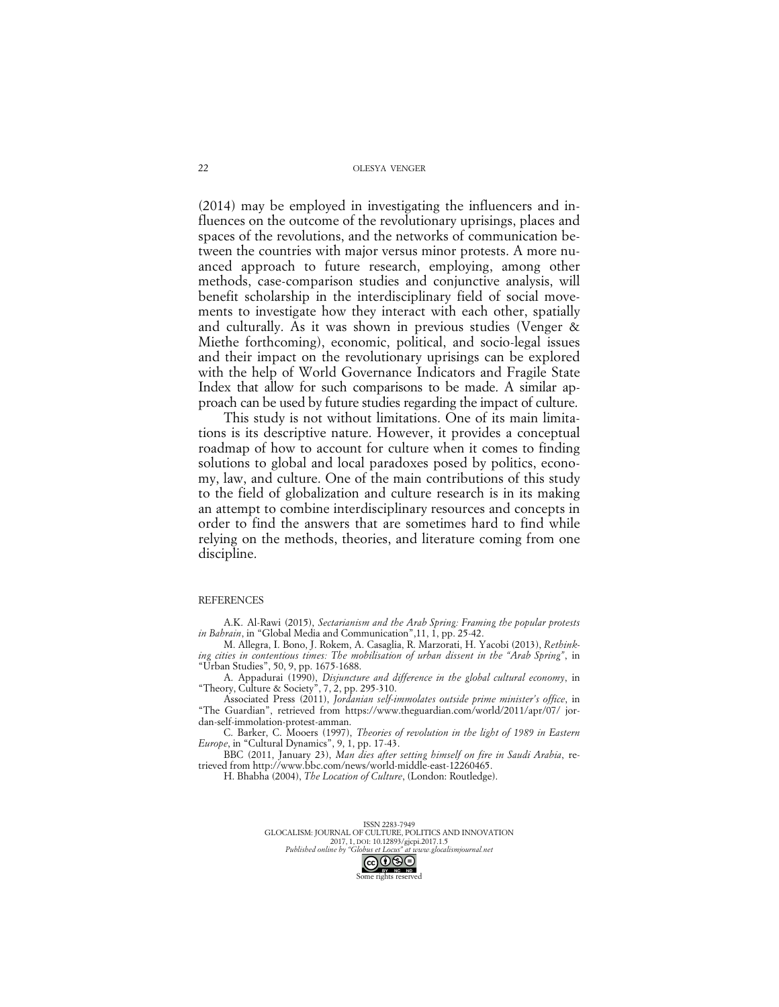(2014) may be employed in investigating the influencers and influences on the outcome of the revolutionary uprisings, places and spaces of the revolutions, and the networks of communication between the countries with major versus minor protests. A more nuanced approach to future research, employing, among other methods, case-comparison studies and conjunctive analysis, will benefit scholarship in the interdisciplinary field of social movements to investigate how they interact with each other, spatially and culturally. As it was shown in previous studies (Venger & Miethe forthcoming), economic, political, and socio-legal issues and their impact on the revolutionary uprisings can be explored with the help of World Governance Indicators and Fragile State Index that allow for such comparisons to be made. A similar approach can be used by future studies regarding the impact of culture.

This study is not without limitations. One of its main limitations is its descriptive nature. However, it provides a conceptual roadmap of how to account for culture when it comes to finding solutions to global and local paradoxes posed by politics, economy, law, and culture. One of the main contributions of this study to the field of globalization and culture research is in its making an attempt to combine interdisciplinary resources and concepts in order to find the answers that are sometimes hard to find while relying on the methods, theories, and literature coming from one discipline.

#### **REFERENCES**

A.K. Al-Rawi (2015), *Sectarianism and the Arab Spring: Framing the popular protests in Bahrain*, in "Global Media and Communication",11, 1, pp. 25-42.

M. Allegra, I. Bono, J. Rokem, A. Casaglia, R. Marzorati, H. Yacobi (2013), *Rethinking cities in contentious times: The mobilisation of urban dissent in the "Arab Spring"*, in "Urban Studies", 50, 9, pp. 1675-1688.

A. Appadurai (1990), *Disjuncture and difference in the global cultural economy*, in "Theory, Culture & Society", 7, 2, pp. 295-310.

Associated Press (2011), *Jordanian self-immolates outside prime minister's office*, in "The Guardian", retrieved from https://www.theguardian.com/world/2011/apr/07/ jordan-self-immolation-protest-amman.

C. Barker, C. Mooers (1997), *Theories of revolution in the light of 1989 in Eastern Europe*, in "Cultural Dynamics", 9, 1, pp. 17-43.

BBC (2011, January 23), *Man dies after setting himself on fire in Saudi Arabia*, retrieved from http://www.bbc.com/news/world-middle-east-12260465.

H. Bhabha (2004), *The Location of Culture*, (London: Routledge).

ISSN 2283-7949 GLOCALISM: JOURNAL OF CULTURE, POLITICS AND INNOVATION 2017, 1, DOI: 10.12893/gjcpi.2017.1.5<br>Published online by "Globus et Locus" at www.glocal. *Published online by "Globus et Locus" at www.glocalismjournal.net*

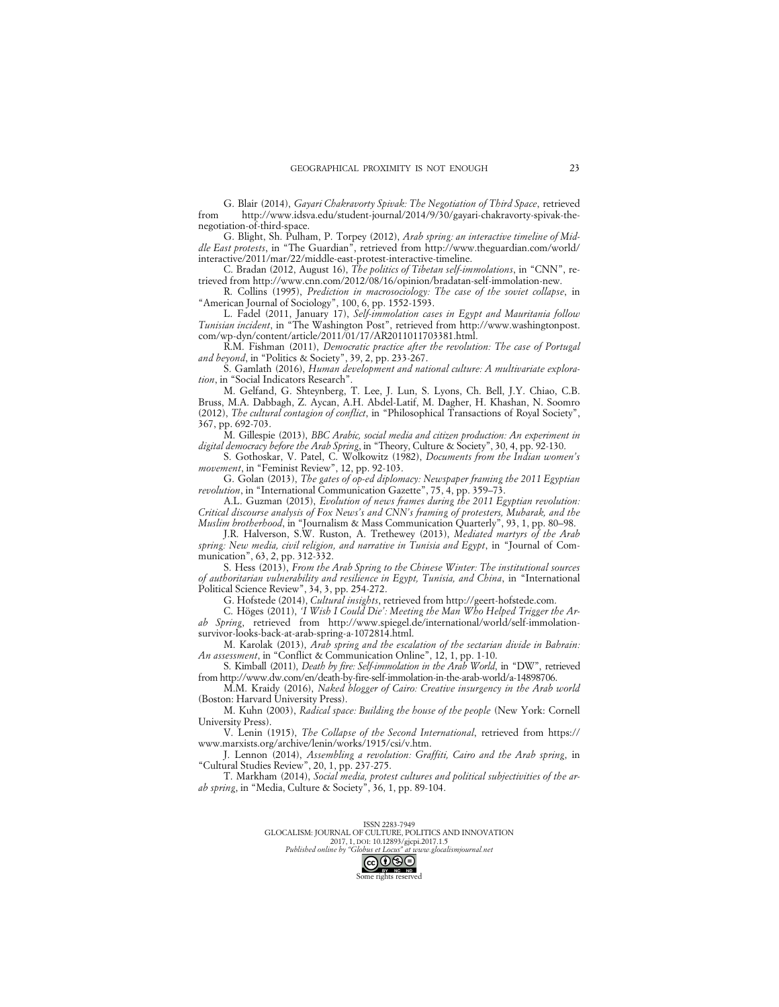G. Blair (2014), *Gayari Chakravorty Spivak: The Negotiation of Third Space*, retrieved from http://www.idsva.edu/student-journal/2014/9/30/gayari-chakravorty-spivak-thenegotiation-of-third-space.

G. Blight, Sh. Pulham, P. Torpey (2012), *Arab spring: an interactive timeline of Middle East protests*, in "The Guardian", retrieved from http://www.theguardian.com/world/ interactive/2011/mar/22/middle-east-protest-interactive-timeline.

C. Bradan (2012, August 16), *The politics of Tibetan self-immolations*, in "CNN", retrieved from http://www.cnn.com/2012/08/16/opinion/bradatan-self-immolation-new.

R. Collins (1995), *Prediction in macrosociology: The case of the soviet collapse*, in "American Journal of Sociology", 100, 6, pp. 1552-1593.

L. Fadel (2011, January 17), *Self-immolation cases in Egypt and Mauritania follow Tunisian incident*, in "The Washington Post", retrieved from http://www.washingtonpost. com/wp-dyn/content/article/2011/01/17/AR2011011703381.html.

R.M. Fishman (2011), *Democratic practice after the revolution: The case of Portugal and beyond*, in "Politics & Society", 39, 2, pp. 233-267.

S. Gamlath (2016), *Human development and national culture: A multivariate exploration*, in "Social Indicators Research".

M. Gelfand, G. Shteynberg, T. Lee, J. Lun, S. Lyons, Ch. Bell, J.Y. Chiao, C.B. Bruss, M.A. Dabbagh, Z. Aycan, A.H. Abdel-Latif, M. Dagher, H. Khashan, N. Soomro (2012), *The cultural contagion of conflict*, in "Philosophical Transactions of Royal Society", 367, pp. 692-703.

M. Gillespie (2013), *BBC Arabic, social media and citizen production: An experiment in digital democracy before the Arab Spring*, in "Theory, Culture & Society", 30, 4, pp. 92-130.

S. Gothoskar, V. Patel, C. Wolkowitz (1982), *Documents from the Indian women's movement*, in "Feminist Review", 12, pp. 92-103.

G. Golan (2013), *The gates of op-ed diplomacy: Newspaper framing the 2011 Egyptian revolution*, in "International Communication Gazette", 75, 4, pp. 359–73.

A.L. Guzman (2015), *Evolution of news frames during the 2011 Egyptian revolution: Critical discourse analysis of Fox News's and CNN's framing of protesters, Mubarak, and the Muslim brotherhood*, in "Journalism & Mass Communication Quarterly", 93, 1, pp. 80–98.

J.R. Halverson, S.W. Ruston, A. Trethewey (2013), *Mediated martyrs of the Arab spring: New media, civil religion, and narrative in Tunisia and Egypt*, in "Journal of Communication", 63, 2, pp. 312-332.

S. Hess (2013), *From the Arab Spring to the Chinese Winter: The institutional sources of authoritarian vulnerability and resilience in Egypt, Tunisia, and China*, in "International Political Science Review", 34, 3, pp. 254-272.

G. Hofstede (2014), *Cultural insights*, retrieved from http://geert-hofstede.com.

C. Höges (2011), *'I Wish I Could Die': Meeting the Man Who Helped Trigger the Arab Spring*, retrieved from http://www.spiegel.de/international/world/self-immolationsurvivor-looks-back-at-arab-spring-a-1072814.html.

M. Karolak (2013), *Arab spring and the escalation of the sectarian divide in Bahrain: An assessment*, in "Conflict & Communication Online", 12, 1, pp. 1-10.

S. Kimball (2011), *Death by fire: Self-immolation in the Arab World*, in "DW", retrieved from http://www.dw.com/en/death-by-fire-self-immolation-in-the-arab-world/a-14898706.

M.M. Kraidy (2016), *Naked blogger of Cairo: Creative insurgency in the Arab world* (Boston: Harvard University Press).

M. Kuhn (2003), *Radical space: Building the house of the people* (New York: Cornell University Press).

V. Lenin (1915), *The Collapse of the Second International*, retrieved from https:// www.marxists.org/archive/lenin/works/1915/csi/v.htm.

J. Lennon (2014), *Assembling a revolution: Graffiti, Cairo and the Arab spring*, in "Cultural Studies Review", 20, 1, pp. 237-275.

T. Markham (2014), *Social media, protest cultures and political subjectivities of the arab spring*, in "Media, Culture & Society", 36, 1, pp. 89-104.

> ISSN 2283-7949 GLOCALISM: JOURNAL OF CULTURE, POLITICS AND INNOVATION 2017, 1, DOI: 10.12893/gjcpi.2017.1.5 *Published online by "Globus et Locus" at www.glocalismjournal.net*